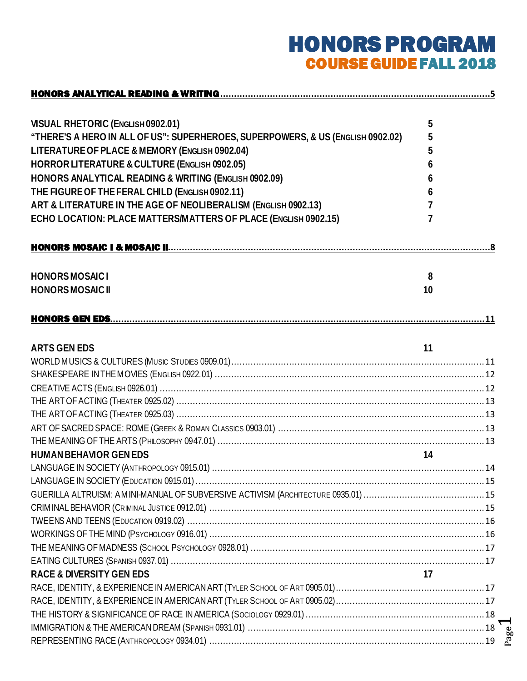# HONORS PROGRAM COURSE GUIDE FALL 2018

| <b>VISUAL RHETORIC (ENGLISH0902.01)</b>                                         | 5  |      |
|---------------------------------------------------------------------------------|----|------|
| "THERE'S A HERO IN ALL OF US": SUPERHEROES, SUPERPOWERS, & US (ENGLISH 0902.02) | 5  |      |
| LITERATURE OF PLACE & MEMORY (ENGLISH 0902.04)                                  | 5  |      |
| HORROR LITERATURE & CULTURE (ENGLISH 0902.05)                                   | 6  |      |
| HONORS ANALYTICAL READING & WRITING (ENGLISH 0902.09)                           | 6  |      |
| THE FIGURE OF THE FERAL CHILD (ENGLISH 0902.11)                                 | 6  |      |
| ART & LITERATURE IN THE AGE OF NEOLIBERALISM (ENGLISH 0902.13)                  |    |      |
| ECHO LOCATION: PLACE MATTERS/MATTERS OF PLACE (ENGLISH 0902.15)                 | 7  |      |
|                                                                                 |    |      |
| <b>HONORSMOSAICI</b>                                                            | 8  |      |
| <b>HONORSMOSAICII</b>                                                           | 10 |      |
|                                                                                 |    |      |
| <b>ARTS GEN EDS</b>                                                             | 11 |      |
|                                                                                 |    |      |
|                                                                                 |    |      |
|                                                                                 |    |      |
|                                                                                 |    |      |
|                                                                                 |    |      |
|                                                                                 |    |      |
|                                                                                 |    |      |
| <b>HUMAN BEHAVIOR GEN EDS</b>                                                   | 14 |      |
|                                                                                 |    | . 14 |
|                                                                                 |    |      |
|                                                                                 |    |      |
|                                                                                 |    |      |
|                                                                                 |    |      |
|                                                                                 |    |      |
|                                                                                 |    |      |
|                                                                                 |    |      |
| <b>RACE &amp; DIVERSITY GEN EDS</b>                                             | 17 |      |
|                                                                                 |    |      |
|                                                                                 |    |      |
|                                                                                 |    |      |
|                                                                                 |    |      |
|                                                                                 |    |      |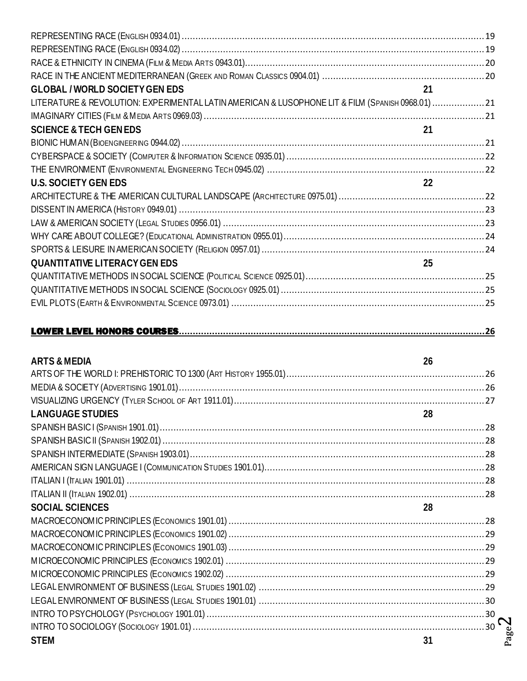| <b>GLOBAL / WORLD SOCIETY GEN EDS</b>                                                            | 21 |
|--------------------------------------------------------------------------------------------------|----|
| LITERATURE & REVOLUTION: EXPERIMENTAL LATIN AMERICAN & LUSOPHONE LIT & FILM (SPANISH 0968.01) 21 |    |
|                                                                                                  |    |
| <b>SCIENCE &amp; TECH GENEDS</b>                                                                 | 21 |
|                                                                                                  |    |
|                                                                                                  |    |
|                                                                                                  |    |
| <b>U.S. SOCIETY GEN EDS</b>                                                                      | 22 |
|                                                                                                  |    |
|                                                                                                  |    |
|                                                                                                  |    |
|                                                                                                  |    |
|                                                                                                  |    |
| <b>QUANTITATIVE LITERACY GEN EDS</b>                                                             | 25 |
|                                                                                                  |    |
|                                                                                                  |    |
|                                                                                                  |    |
|                                                                                                  |    |
|                                                                                                  |    |
|                                                                                                  |    |
| <b>ARTS &amp; MEDIA</b>                                                                          | 26 |
|                                                                                                  |    |
|                                                                                                  |    |
|                                                                                                  |    |
| LANGUAGE STUDIES 28                                                                              |    |
|                                                                                                  |    |
|                                                                                                  |    |
|                                                                                                  |    |
|                                                                                                  |    |
|                                                                                                  |    |

| <b>SOCIAL SCIENCES</b> | 28 |
|------------------------|----|
|                        |    |
|                        |    |
|                        |    |
|                        |    |
|                        |    |
|                        |    |
|                        |    |
|                        |    |
|                        |    |
| <b>STEM</b>            |    |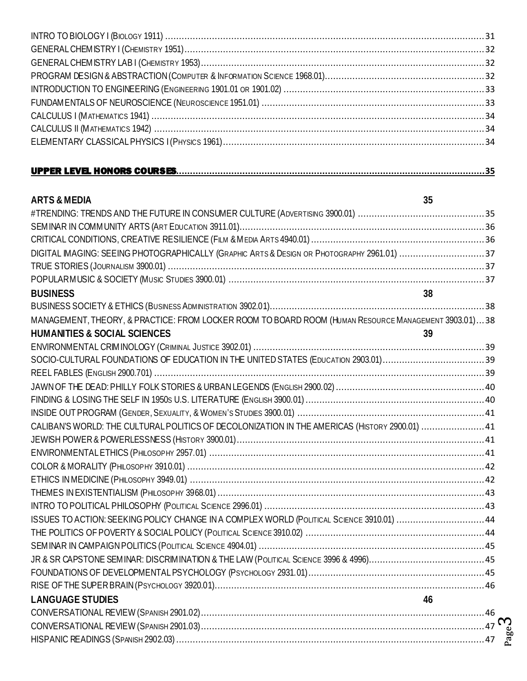| <b>ARTS &amp; MEDIA</b>                                                                              | 35 |
|------------------------------------------------------------------------------------------------------|----|
|                                                                                                      |    |
|                                                                                                      |    |
|                                                                                                      |    |
| DIGITAL IMAGING: SEEING PHOTOGRAPHICALLY (GRAPHIC ARTS & DESIGN OR PHOTOGRAPHY 2961.01) 37           |    |
|                                                                                                      |    |
|                                                                                                      |    |
| <b>BUSINESS</b>                                                                                      | 38 |
|                                                                                                      |    |
| MANAGEMENT, THEORY, & PRACTICE: FROM LOCKER ROOM TO BOARD ROOM (HUMAN RESOURCE MANAGEMENT 3903.01)38 |    |
| <b>HUMANITIES &amp; SOCIAL SCIENCES</b>                                                              | 39 |
|                                                                                                      |    |
|                                                                                                      |    |
|                                                                                                      |    |
|                                                                                                      |    |
|                                                                                                      |    |
|                                                                                                      |    |
| CALIBAN'S WORLD: THE CULTURAL POLITICS OF DECOLONIZATION IN THE AMERICAS (HISTORY 2900.01)  41       |    |
|                                                                                                      |    |
|                                                                                                      |    |
|                                                                                                      |    |
|                                                                                                      |    |
|                                                                                                      |    |
|                                                                                                      |    |
| ISSUES TO ACTION: SEEKING POLICY CHANGE IN A COMPLEX WORLD (POLITICAL SCIENCE 3910.01)  44           |    |
|                                                                                                      |    |
|                                                                                                      |    |
|                                                                                                      |    |
|                                                                                                      |    |
|                                                                                                      |    |
| <b>LANGUAGE STUDIES</b>                                                                              | 46 |
|                                                                                                      |    |
|                                                                                                      |    |
|                                                                                                      |    |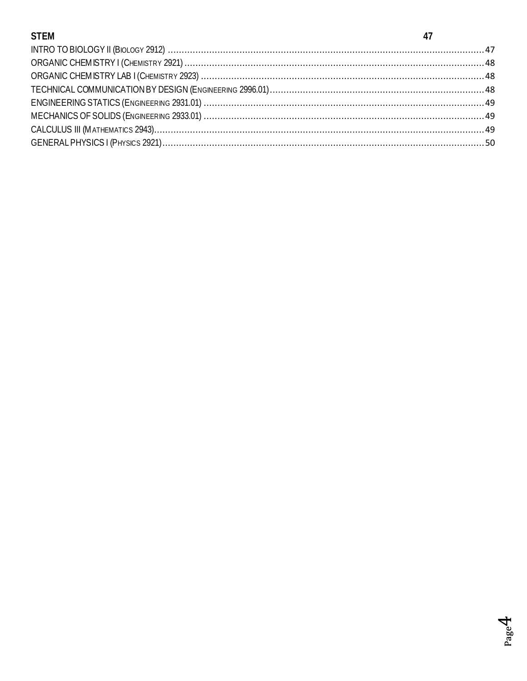## **STEM**

| <b>STEM</b> |  |
|-------------|--|
|             |  |
|             |  |
|             |  |
|             |  |
|             |  |
|             |  |
|             |  |
|             |  |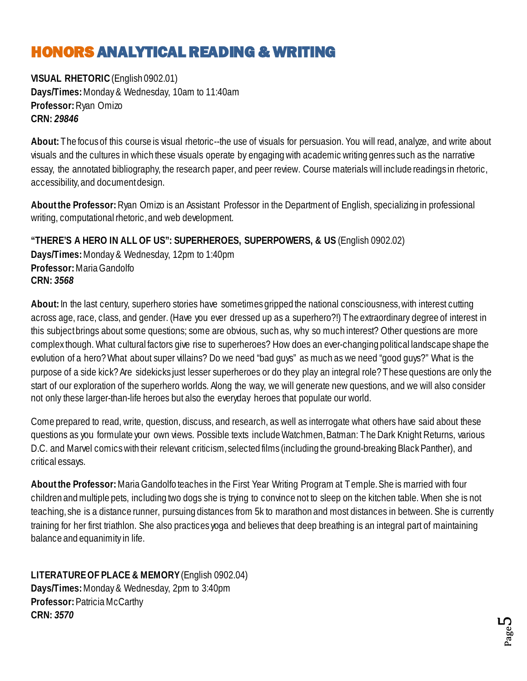# <span id="page-4-0"></span>HONORS ANALYTICAL READING & WRITING

<span id="page-4-1"></span>**VISUAL RHETORIC**(English 0902.01) **Days/Times:** Monday & Wednesday, 10am to 11:40am **Professor:** Ryan Omizo **CRN:** *29846*

**About:** The focus of this course is visual rhetoric--the use of visuals for persuasion. You will read, analyze, and write about visuals and the cultures in which these visuals operate by engaging with academic writing genres such as the narrative essay, the annotated bibliography, the research paper, and peer review. Course materials will include readings in rhetoric, accessibility, and document design.

**About the Professor:** Ryan Omizo is an Assistant Professor in the Department of English, specializing in professional writing, computational rhetoric, and web development.

<span id="page-4-2"></span>**"THERE'S A HERO IN ALL OF US": SUPERHEROES, SUPERPOWERS, & US** (English 0902.02) **Days/Times:** Monday & Wednesday, 12pm to 1:40pm **Professor:** MariaGandolfo **CRN:** *3568*

**About:** In the last century, superhero stories have sometimes gripped the national consciousness, with interest cutting across age, race, class, and gender. (Have you ever dressed up as a superhero?!) The extraordinary degree of interest in this subject brings about some questions; some are obvious, such as, why so much interest? Other questions are more complex though. What cultural factors give rise to superheroes? How does an ever-changing political landscape shape the evolution of a hero? What about super villains? Do we need "bad guys" as much as we need "good guys?" What is the purpose of a side kick? Are sidekicks just lesser superheroes or do they play an integral role? These questions are only the start of our exploration of the superhero worlds. Along the way, we will generate new questions, and we will also consider not only these larger-than-life heroes but also the everyday heroes that populate our world.

Come prepared to read, write, question, discuss, and research, as well as interrogate what others have said about these questions as you formulate your own views. Possible texts include Watchmen, Batman: The Dark Knight Returns, various D.C. and Marvel comics with their relevant criticism, selected films (including the ground-breaking Black Panther), and critical essays.

**About the Professor:** Maria Gandolfo teaches in the First Year Writing Program at Temple. She is married with four children and multiple pets, including two dogs she is trying to convince not to sleep on the kitchen table. When she is not teaching, she is a distance runner, pursuing distances from 5k to marathon and most distances in between. She is currently training for her first triathlon. She also practices yoga and believes that deep breathing is an integral part of maintaining balance and equanimity in life.

<span id="page-4-3"></span>**LITERATURE OF PLACE & MEMORY** (English 0902.04) **Days/Times:** Monday & Wednesday, 2pm to 3:40pm **Professor:** Patricia McCarthy **CRN:** *3570*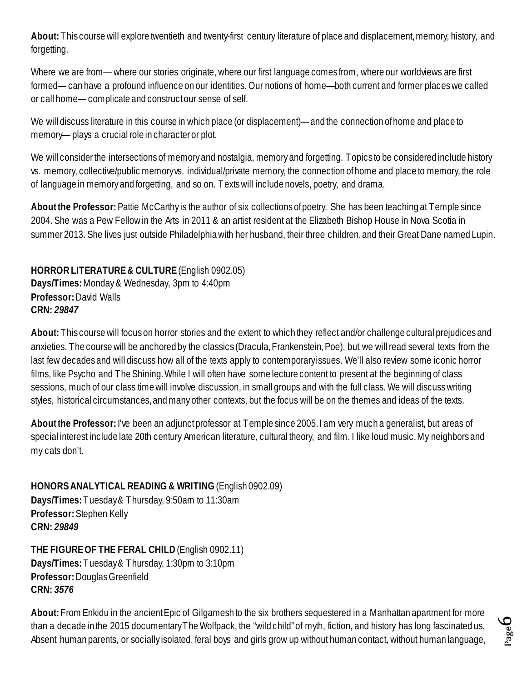**About:** This course will explore twentieth and twenty-first century literature of place and displacement, memory, history, and forgetting.

Where we are from— where our stories originate, where our first language comes from, where our worldviews are first formed— can have a profound influence on our identities. Our notions of home—both current and former places we called or call home— complicate and construct our sense of self.

We will discuss literature in this course in which place (or displacement)—and the connection of home and place to memory— plays a crucial role in character or plot.

We will consider the intersections of memory and nostalgia, memory and forgetting. Topics to be considered include history vs. memory, collective/public memory vs. individual/private memory, the connection of home and place to memory, the role of language in memory and forgetting, and so on. Texts will include novels, poetry, and drama.

About the Professor: Pattie McCarthy is the author of six collections of poetry. She has been teaching at Temple since 2004. She was a Pew Fellow in the Arts in 2011 & an artist resident at the Elizabeth Bishop House in Nova Scotia in summer 2013. She lives just outside Philadelphia with her husband, their three children, and their Great Dane named Lupin.

<span id="page-5-0"></span>**HORROR LITERATURE & CULTURE**(English 0902.05) **Days/Times:** Monday & Wednesday, 3pm to 4:40pm **Professor:** David Walls **CRN:** *29847*

**About:** This course will focus on horror stories and the extent to which they reflect and/or challenge cultural prejudices and anxieties. The course will be anchored by the classics (Dracula, Frankenstein, Poe), but we will read several texts from the last few decades and will discuss how all of the texts apply to contemporary issues. We'll also review some iconic horror films, like Psycho and The Shining. While I will often have some lecture content to present at the beginning of class sessions, much of our class time will involve discussion, in small groups and with the full class. We will discuss writing styles, historical circumstances, and many other contexts, but the focus will be on the themes and ideas of the texts.

**About the Professor:** I've been an adjunct professor at Temple since 2005. I am very much a generalist, but areas of special interest include late 20th century American literature, cultural theory, and film. I like loud music. My neighbors and my cats don't.

<span id="page-5-1"></span>**HONORS ANALYTICAL READING & WRITING** (English 0902.09) **Days/Times:** Tuesday & Thursday, 9:50am to 11:30am **Professor:** Stephen Kelly **CRN:** *29849*

<span id="page-5-2"></span>**THE FIGURE OF THE FERAL CHILD**(English 0902.11) **Days/Times:** Tuesday & Thursday, 1:30pm to 3:10pm **Professor:** Douglas Greenfield **CRN:** *3576*

**About:** From Enkidu in the ancient Epic of Gilgamesh to the six brothers sequestered in a Manhattan apartment for more than a decade in the 2015 documentary The Wolfpack, the "wild child" of myth, fiction, and history has long fascinated us. Absent human parents, or socially isolated, feral boys and girls grow up without human contact, without human language,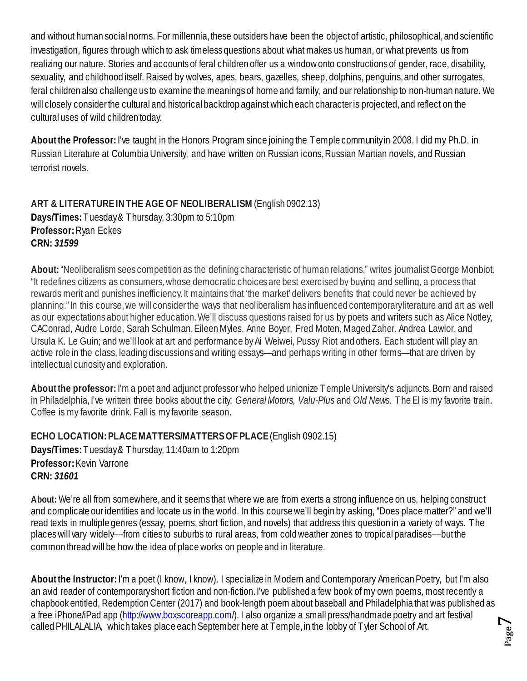and without human social norms. For millennia, these outsiders have been the object of artistic, philosophical, and scientific investigation, figures through which to ask timeless questions about what makes us human, or what prevents us from realizing our nature. Stories and accounts of feral children offer us a window onto constructions of gender, race, disability, sexuality, and childhood itself. Raised by wolves, apes, bears, gazelles, sheep, dolphins, penguins, and other surrogates, feral children also challenge us to examine the meanings of home and family, and our relationship to non-human nature. We will closely consider the cultural and historical backdrop against which each character is projected, and reflect on the cultural uses of wild children today.

**About the Professor:** I've taught in the Honors Program since joining the Temple community in 2008. I did my Ph.D. in Russian Literature at Columbia University, and have written on Russian icons, Russian Martian novels, and Russian terrorist novels.

<span id="page-6-0"></span>**ART & LITERATURE IN THE AGE OF NEOLIBERALISM** (English 0902.13) **Days/Times:** Tuesday & Thursday, 3:30pm to 5:10pm **Professor:** Ryan Eckes **CRN:** *31599*

**About:**"Neoliberalism sees competition as the defining characteristic of human relations," writes journalist George Monbiot. "It redefines citizens as consumers, whose democratic choices are best exercised by buying and selling, a process that rewards merit and punishes inefficiency. It maintains that 'the market' delivers benefits that could never be achieved by planning." In this course, we will consider the ways that neoliberalism has influenced contemporary literature and art as well as our expectations about higher education. We'll discuss questions raised for us by poets and writers such as Alice Notley, CAConrad, Audre Lorde, Sarah Schulman, Eileen Myles, Anne Boyer, Fred Moten, Maged Zaher, Andrea Lawlor, and Ursula K. Le Guin; and we'll look at art and performance by Ai Weiwei, Pussy Riot and others. Each student will play an active role in the class, leading discussions and writing essays—and perhaps writing in other forms—that are driven by intellectual curiosity and exploration.

**About the professor:**I'm a poet and adjunct professor who helped unionize Temple University's adjuncts. Born and raised in Philadelphia, I've written three books about the city: *General Motors, Valu-Plus* and *Old News*. The El is my favorite train. Coffee is my favorite drink. Fall is my favorite season.

<span id="page-6-1"></span>**ECHO LOCATION: PLACEMATTERS/MATTERS OF PLACE**(English 0902.15) **Days/Times:** Tuesday & Thursday, 11:40am to 1:20pm **Professor:** Kevin Varrone **CRN:** *31601*

**About:**We're all from somewhere, and it seems that where we are from exerts a strong influence on us, helping construct and complicate our identities and locate us in the world. In this course we'll begin by asking, "Does place matter?" and we'll read texts in multiple genres (essay, poems, short fiction, and novels) that address this question in a variety of ways. The places will vary widely––from cities to suburbs to rural areas, from cold weather zones to tropical paradises––but the common thread will be how the idea of place works on people and in literature.

**About the Instructor:**I'm a poet (I know, I know). I specialize in Modern and Contemporary American Poetry, but I'm also an avid reader of contemporary short fiction and non-fiction. I've published a few book of my own poems, most recently a chapbook entitled, Redemption Center (2017) and book-length poem about baseball and Philadelphia that was published as a free iPhone/iPad app (http://www.boxscoreapp.com/). I also organize a small press/handmade poetry and art festival called PHILALALIA, which takes place each September here at Temple, in the lobby of Tyler School of Art.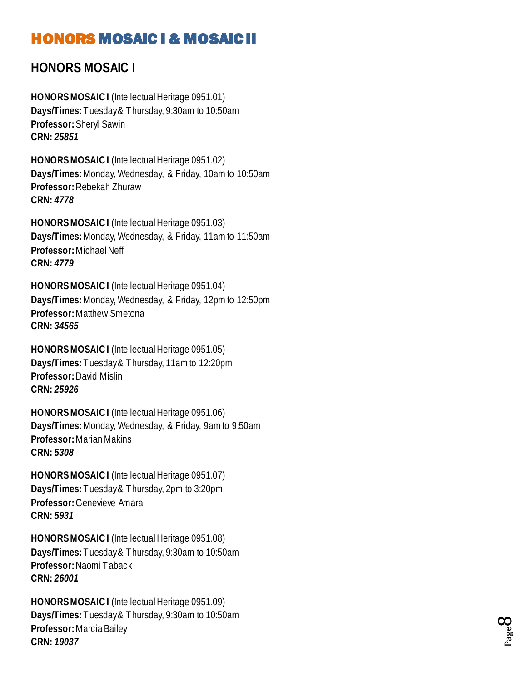## <span id="page-7-0"></span>HONORS MOSAIC I & MOSAIC II

## <span id="page-7-1"></span>**HONORS MOSAIC I**

**HONORS MOSAIC I** (Intellectual Heritage 0951.01 ) **Days/Times:** Tuesday & Thursday, 9:30am to 10:50am **Professor:** Sheryl Sawin **CRN:** *25851*

**HONORS MOSAIC I** (Intellectual Heritage 0951.02) **Days/Times:** Monday, Wednesday, & Friday, 10am to 10:50am **Professor:** Rebekah Zhuraw **CRN:** *4778*

**HONORS MOSAIC I** (Intellectual Heritage 0951.03) **Days/Times:** Monday, Wednesday, & Friday, 11am to 11:50am **Professor:** Michael Neff **CRN:** *4779*

**HONORS MOSAIC I** (Intellectual Heritage 0951.04) **Days/Times:** Monday, Wednesday, & Friday, 12pm to 12:50pm **Professor:** Matthew Smetona **CRN:** *34565*

**HONORS MOSAIC I** (Intellectual Heritage 0951.05) **Days/Times:** Tuesday & Thursday, 11am to 12:20pm **Professor:** David Mislin **CRN:** *25926*

**HONORS MOSAIC I** (Intellectual Heritage 0951.06) **Days/Times:** Monday, Wednesday, & Friday, 9am to 9:50am **Professor:** Marian Makins **CRN:** *5308*

**HONORS MOSAIC I** (Intellectual Heritage 0951.07) **Days/Times:** Tuesday & Thursday, 2pm to 3:20pm **Professor:** Genevieve Amaral **CRN:** *5931*

**HONORS MOSAIC I** (Intellectual Heritage 0951.08) **Days/Times:** Tuesday & Thursday, 9:30am to 10:50am **Professor:** Naomi Taback **CRN:** *26001*

**HONORS MOSAIC I** (Intellectual Heritage 0951.09) **Days/Times:** Tuesday & Thursday, 9:30am to 10:50am **Professor:** Marcia Bailey **CRN:** *19037*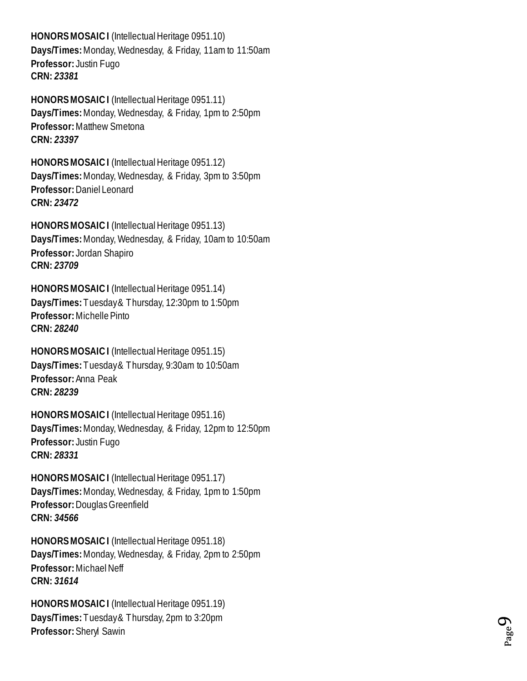**HONORS MOSAIC I** (Intellectual Heritage 0951.10) **Days/Times:** Monday, Wednesday, & Friday, 11am to 11:50am **Professor:** Justin Fugo **CRN:** *23381*

**HONORS MOSAIC I** (Intellectual Heritage 0951.11 ) **Days/Times:** Monday, Wednesday, & Friday, 1pm to 2:50pm **Professor:** Matthew Smetona **CRN:** *23397*

**HONORS MOSAIC I** (Intellectual Heritage 0951.12) **Days/Times:** Monday, Wednesday, & Friday, 3pm to 3:50pm **Professor:** Daniel Leonard **CRN:** *23472*

**HONORS MOSAIC I** (Intellectual Heritage 0951.13) **Days/Times:** Monday, Wednesday, & Friday, 10am to 10:50am **Professor:** Jordan Shapiro **CRN:** *23709*

**HONORS MOSAIC I** (Intellectual Heritage 0951.14) **Days/Times:** Tuesday & Thursday, 12:30pm to 1:50pm **Professor:** Michelle Pinto **CRN:** *28240*

**HONORS MOSAIC I** (Intellectual Heritage 0951.15) **Days/Times:** Tuesday & Thursday, 9:30am to 10:50am **Professor:** Anna Peak **CRN:** *28239*

**HONORS MOSAIC I** (Intellectual Heritage 0951.16) **Days/Times:** Monday, Wednesday, & Friday, 12pm to 12:50pm **Professor:** Justin Fugo **CRN:** *28331*

**HONORS MOSAIC I** (Intellectual Heritage 0951.17) **Days/Times:** Monday, Wednesday, & Friday, 1pm to 1:50pm **Professor:** Douglas Greenfield **CRN:** *34566*

**HONORS MOSAIC I** (Intellectual Heritage 0951.18) **Days/Times:** Monday, Wednesday, & Friday, 2pm to 2:50pm **Professor:** Michael Neff **CRN:** *31614*

**HONORS MOSAIC I** (Intellectual Heritage 0951.19) **Days/Times:** Tuesday & Thursday, 2pm to 3:20pm **Professor:** Sheryl Sawin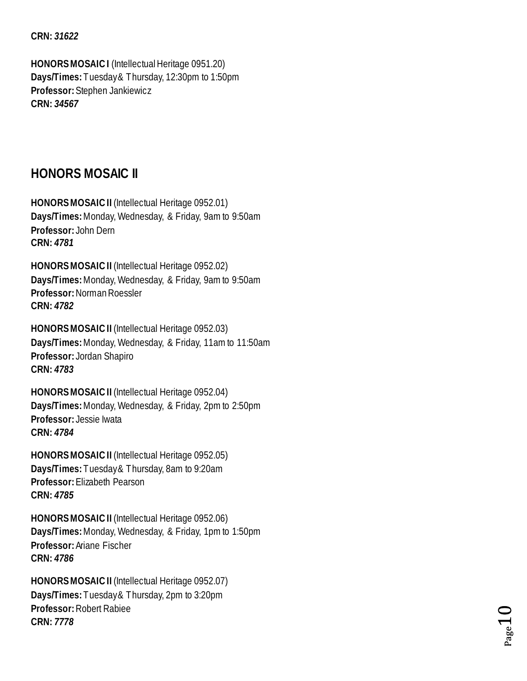#### **CRN:** *31622*

**HONORS MOSAIC I** (Intellectual Heritage 0951.20) **Days/Times:** Tuesday & Thursday, 1 2:30pm to 1:50pm **Professor:** Stephen Jankiewicz **CRN:** *34567*

## <span id="page-9-0"></span>**HONORS MOSAIC II**

**HONORS MOSAIC II** (Intellectual Heritage 0952.01 ) **Days/Times:** Monday, Wednesday, & Friday, 9am to 9:50am **Professor:** John Dern **CRN:** *4781*

**HONORS MOSAIC II** (Intellectual Heritage 0952.02) **Days/Times:** Monday, Wednesday, & Friday, 9am to 9:50am **Professor:** Norman Roessler **CRN:** *4782*

**HONORS MOSAIC II** (Intellectual Heritage 0952.03) **Days/Times:** Monday, Wednesday, & Friday, 11am to 11:50am **Professor:** Jordan Shapiro **CRN:** *4783*

**HONORS MOSAIC II** (Intellectual Heritage 0952.04) **Days/Times:** Monday, Wednesday, & Friday, 2pm to 2:50pm **Professor:** Jessie Iwata **CRN:** *4784*

**HONORS MOSAIC II** (Intellectual Heritage 0952.05) **Days/Times:** Tuesday & Thursday, 8am to 9:20am **Professor:** Elizabeth Pearson **CRN:** *4785*

**HONORS MOSAIC II** (Intellectual Heritage 0952.06) **Days/Times:** Monday, Wednesday, & Friday, 1pm to 1:50pm **Professor:** Ariane Fischer **CRN:** *4786*

**HONORS MOSAIC II** (Intellectual Heritage 0952.07) **Days/Times:** Tuesday& Thursday, 2pm to 3:20pm **Professor:** Robert Rabiee **CRN:** *7778*

 $_{\rm Page}10$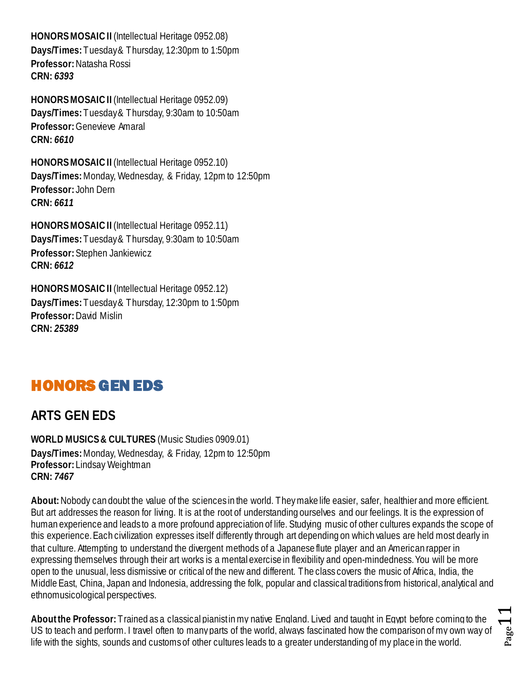**HONORS MOSAIC II** (Intellectual Heritage 0952.08) **Days/Times:** Tuesday & Thursday, 12:30pm to 1:50pm **Professor:** Natasha Rossi **CRN:** *6393*

**HONORS MOSAIC II** (Intellectual Heritage 0952.09) **Days/Times:** Tuesday & Thursday, 9:30am to 10:50am **Professor:** Genevieve Amaral **CRN:** *6610*

**HONORS MOSAIC II** (Intellectual Heritage 0952.10) **Days/Times:** Monday, Wednesday, & Friday, 12pm to 12:50pm **Professor:** John Dern **CRN:** *6611*

**HONORS MOSAIC II** (Intellectual Heritage 0952.11) **Days/Times:** Tuesday & Thursday, 9:30am to 10:50am **Professor:** Stephen Jankiewicz **CRN:** *6612*

**HONORS MOSAIC II** (Intellectual Heritage 0952.12) **Days/Times:** Tuesday & Thursday, 12:30pm to 1:50pm **Professor:** David Mislin **CRN:** *25389*

## <span id="page-10-0"></span>HONORS GEN EDS

## <span id="page-10-1"></span>**ARTS GEN EDS**

<span id="page-10-2"></span>**WORLD MUSICS& CULTURES** (Music Studies 0909.01) **Days/Times:** Monday, Wednesday, & Friday, 12pm to 12:50pm **Professor:** Lindsay Weightman **CRN:** *7467*

**About:**Nobody can doubt the value of the sciences in the world. They make life easier, safer, healthier and more efficient. But art addresses the reason for living. It is at the root of understanding ourselves and our feelings. It is the expression of human experience and leads to a more profound appreciation of life. Studying music of other cultures expands the scope of this experience. Each civilization expresses itself differently through art depending on which values are held most dearly in that culture. Attempting to understand the divergent methods of a Japanese flute player and an American rapper in expressing themselves through their art works is a mental exercise in flexibility and open-mindedness. You will be more open to the unusual, less dismissive or critical of the new and different. The class covers the music of Africa, India, the Middle East, China, Japan and Indonesia, addressing the folk, popular and classical traditions from historical, analytical and ethnomusicological perspectives.

**About the Professor:** Trained as a classical pianist in my native England. Lived and taught in Egypt before coming to the US to teach and perform. I travel often to many parts of the world, always fascinated how the comparison of my own way of life with the sights, sounds and customs of other cultures leads to a greater understanding of my place in the world.

Page.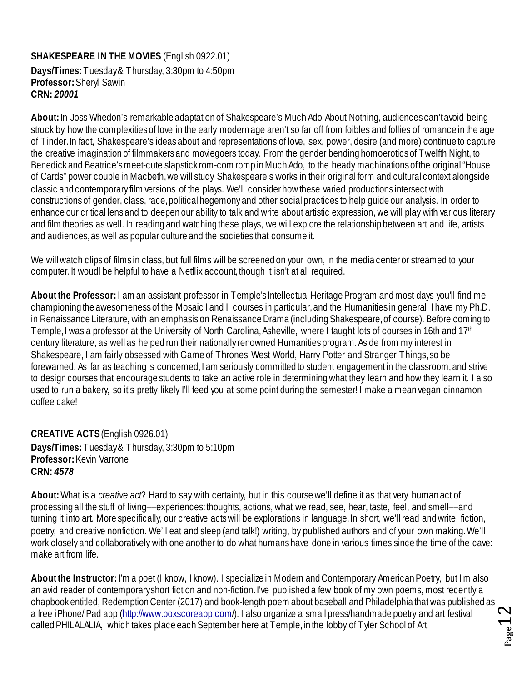#### <span id="page-11-0"></span>**SHAKESPEARE IN THE MOVIES** (English 0922.01)

**Days/Times:** Tuesday & Thursday, 3:30pm to 4:50pm **Professor:** Sheryl Sawin **CRN:** *20001*

**About:** In Joss Whedon's remarkable adaptation of Shakespeare's Much Ado About Nothing, audiences can't avoid being struck by how the complexities of love in the early modern age aren't so far off from foibles and follies of romance in the age of Tinder. In fact, Shakespeare's ideas about and representations of love, sex, power, desire (and more) continue to capture the creative imagination of filmmakers and moviegoers today. From the gender bending homoerotics of Twelfth Night, to Benedick and Beatrice's meet-cute slapstick rom-com romp in Much Ado, to the heady machinations of the original "House of Cards" power couple in Macbeth, we will study Shakespeare's works in their original form and cultural context alongside classic and contemporary film versions of the plays. We'll consider how these varied productions intersect with constructions of gender, class, race, political hegemony and other social practices to help guide our analysis. In order to enhance our critical lens and to deepen our ability to talk and write about artistic expression, we will play with various literary and film theories as well. In reading and watching these plays, we will explore the relationship between art and life, artists and audiences, as well as popular culture and the societies that consume it.

We will watch clips of films in class, but full films will be screened on your own, in the media center or streamed to your computer. It woudl be helpful to have a Netflix account, though it isn't at all required.

**About the Professor:** I am an assistant professor in Temple's Intellectual Heritage Program and most days you'll find me championing the awesomeness of the Mosaic I and II courses in particular, and the Humanities in general. I have my Ph.D. in Renaissance Literature, with an emphasis on Renaissance Drama (including Shakespeare, of course). Before coming to Temple, I was a professor at the University of North Carolina, Asheville, where I taught lots of courses in 16th and 17<sup>th</sup> century literature, as well as helped run their nationally renowned Humanities program. Aside from my interest in Shakespeare, I am fairly obsessed with Game of Thrones, West World, Harry Potter and Stranger Things, so be forewarned. As far as teaching is concerned, I am seriously committed to student engagement in the classroom, and strive to design courses that encourage students to take an active role in determining what they learn and how they learn it. I also used to run a bakery, so it's pretty likely I'll feed you at some point during the semester! I make a mean vegan cinnamon coffee cake!

<span id="page-11-1"></span>**CREATIVE ACTS**(English 0926.01) **Days/Times:** Tuesday & Thursday, 3:30pm to 5:10pm **Professor:** Kevin Varrone **CRN:** *4578*

**About:** What is a *creative act*? Hard to say with certainty, but in this course we'll define it as that very human act of processing all the stuff of living––experiences: thoughts, actions, what we read, see, hear, taste, feel, and smell––and turning it into art. More specifically, our creative acts will be explorations in language. In short, we'll read and write, fiction, poetry, and creative nonfiction. We'll eat and sleep (and talk!) writing, by published authors and of your own making. We'll work closely and collaboratively with one another to do what humans have done in various times since the time of the cave: make art from life.

**About the Instructor:**I'm a poet (I know, I know). I specialize in Modern and Contemporary American Poetry, but I'm also an avid reader of contemporary short fiction and non-fiction. I've published a few book of my own poems, most recently a chapbook entitled, Redemption Center (2017) and book-length poem about baseball and Philadelphia that was published as a free iPhone/iPad app (http://www.boxscoreapp.com/). I also organize a small press/handmade poetry and art festival called PHILALALIA, which takes place each September here at Temple, in the lobby of Tyler School of Art.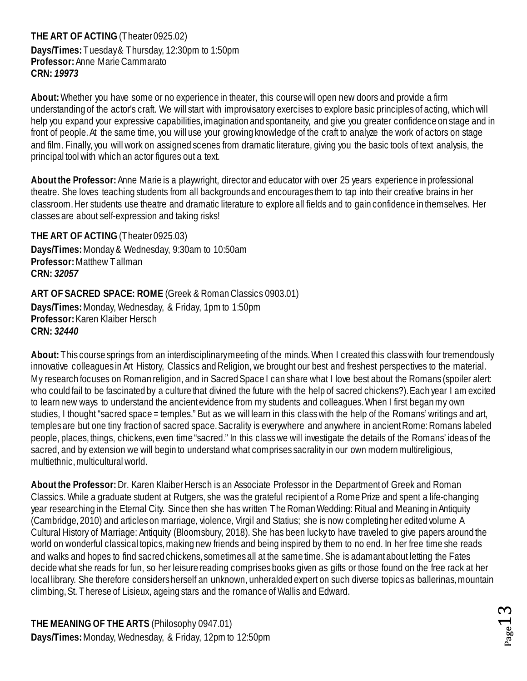<span id="page-12-0"></span>**THE ART OF ACTING** (Theater 0925.02) **Days/Times:** Tuesday & Thursday, 12:30pm to 1:50pm **Professor:** Anne Marie Cammarato **CRN:** *19973*

**About:** Whether you have some or no experience in theater, this course will open new doors and provide a firm understanding of the actor's craft. We will start with improvisatory exercises to explore basic principles of acting, which will help you expand your expressive capabilities, imagination and spontaneity, and give you greater confidence on stage and in front of people. At the same time, you will use your growing knowledge of the craft to analyze the work of actors on stage and film. Finally, you will work on assigned scenes from dramatic literature, giving you the basic tools of text analysis, the principal tool with which an actor figures out a text.

**About the Professor:** Anne Marie is a playwright, director and educator with over 25 years experience in professional theatre. She loves teaching students from all backgrounds and encourages them to tap into their creative brains in her classroom. Her students use theatre and dramatic literature to explore all fields and to gain confidence in themselves. Her classes are about self-expression and taking risks!

<span id="page-12-1"></span>**THE ART OF ACTING** (Theater 0925.03) **Days/Times:** Monday & Wednesday, 9:30am to 10:50am **Professor:** Matthew Tallman **CRN:** *32057*

<span id="page-12-2"></span>**ART OF SACRED SPACE: ROME** (Greek & Roman Classics 0903.01) **Days/Times:** Monday, Wednesday, & Friday, 1pm to 1:50pm **Professor:** Karen Klaiber Hersch **CRN:** *32440*

About: This course springs from an interdisciplinary meeting of the minds. When I created this class with four tremendously innovative colleagues in Art History, Classics and Religion, we brought our best and freshest perspectives to the material. My research focuses on Roman religion, and in Sacred Space I can share what I love best about the Romans (spoiler alert: who could fail to be fascinated by a culture that divined the future with the help of sacred chickens?). Each year I am excited to learn new ways to understand the ancient evidence from my students and colleagues. When I first began my own studies, I thought "sacred space = temples." But as we will learn in this class with the help of the Romans' writings and art, temples are but one tiny fraction of sacred space. Sacrality is everywhere and anywhere in ancient Rome: Romans labeled people, places, things, chickens, even time "sacred." In this class we will investigate the details of the Romans' ideas of the sacred, and by extension we will begin to understand what comprises sacrality in our own modern multireligious, multiethnic, multicultural world.

**About the Professor:** Dr. Karen Klaiber Hersch is an Associate Professor in the Department of Greek and Roman Classics. While a graduate student at Rutgers, she was the grateful recipient of a Rome Prize and spent a life-changing year researching in the Eternal City. Since then she has written The Roman Wedding: Ritual and Meaning in Antiquity (Cambridge, 2010) and articles on marriage, violence, Virgil and Statius; she is now completing her edited volume A Cultural History of Marriage: Antiquity (Bloomsbury, 2018). She has been lucky to have traveled to give papers around the world on wonderful classical topics, making new friends and being inspired by them to no end. In her free time she reads and walks and hopes to find sacred chickens, sometimes all at the same time. She is adamant about letting the Fates decide what she reads for fun, so her leisure reading comprises books given as gifts or those found on the free rack at her local library. She therefore considers herself an unknown, unheralded expert on such diverse topics as ballerinas, mountain climbing, St. Therese of Lisieux, ageing stars and the romance of Wallis and Edward.

<span id="page-12-3"></span>**THE MEANING OF THE ARTS** (Philosophy 0947.01) **Days/Times:** Monday, Wednesday, & Friday, 12pm to 12:50pm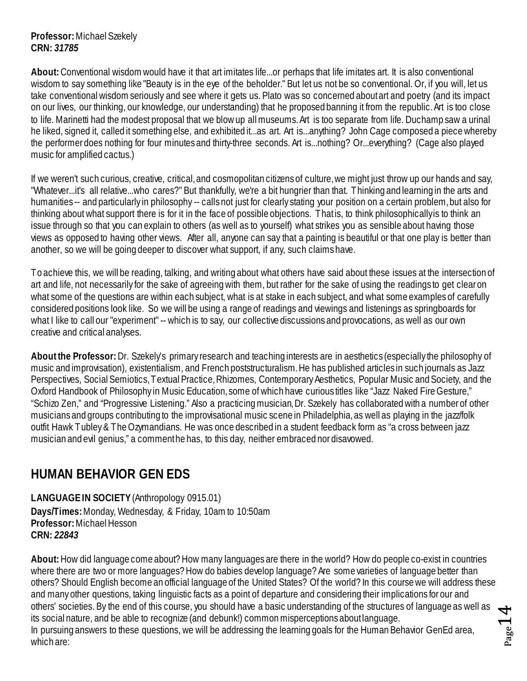**Professor:** Michael Szekely **CRN:** *31785*

**About:** Conventional wisdom would have it that art imitates life...or perhaps that life imitates art. It is also conventional wisdom to say something like "Beauty is in the eye of the beholder." But let us not be so conventional. Or, if you will, let us take conventional wisdom seriously and see where it gets us. Plato was so concerned about art and poetry (and its impact on our lives, our thinking, our knowledge, our understanding) that he proposed banning it from the republic. Art is too close to life. Marinetti had the modest proposal that we blow up all museums. Art is too separate from life. Duchamp saw a urinal he liked, signed it, called it something else, and exhibited it...as art. Art is...anything? John Cage composed a piece whereby the performer does nothing for four minutes and thirty-three seconds. Art is...nothing? Or...everything? (Cage also played music for amplified cactus.)

If we weren't such curious, creative, critical, and cosmopolitan citizens of culture, we might just throw up our hands and say, "Whatever...it's all relative...who cares?" But thankfully, we're a bit hungrier than that. Thinking and learning in the arts and humanities -- and particularly in philosophy -- calls not just for clearly stating your position on a certain problem, but also for thinking about what support there is for it in the face of possible objections. That is, to think philosophically is to think an issue through so that you can explain to others (as well as to yourself) what strikes you as sensible about having those views as opposed to having other views. After all, anyone can say that a painting is beautiful or that one play is better than another, so we will be going deeper to discover what support, if any, such claims have.

To achieve this, we will be reading, talking, and writing about what others have said about these issues at the intersection of art and life, not necessarily for the sake of agreeing with them, but rather for the sake of using the readings to get clear on what some of the questions are within each subject, what is at stake in each subject, and what some examples of carefully considered positions look like. So we will be using a range of readings and viewings and listenings as springboards for what I like to call our "experiment" -- which is to say, our collective discussions and provocations, as well as our own creative and critical analyses.

**About the Professor:** Dr. Szekely's primary research and teaching interests are in aesthetics (especially the philosophy of music and improvisation), existentialism, and French poststructuralism. He has published articles in such journals as Jazz Perspectives, Social Semiotics, Textual Practice, Rhizomes, Contemporary Aesthetics, Popular Music and Society, and the Oxford Handbook of Philosophy in Music Education, some of which have curious titles like "Jazz Naked Fire Gesture," "Schizo Zen," and "Progressive Listening." Also a practicing musician, Dr. Szekely has collaborated with a number of other musicians and groups contributing to the improvisational music scene in Philadelphia, as well as playing in the jazz/folk outfit Hawk Tubley & The Ozymandians. He was once described in a student feedback form as "a cross between jazz musician and evil genius," a comment he has, to this day, neither embraced nor disavowed.

## <span id="page-13-0"></span>**HUMAN BEHAVIOR GEN EDS**

<span id="page-13-1"></span>**LANGUAGE IN SOCIETY**(Anthropology 0915.01) **Days/Times:** Monday, Wednesday, & Friday, 10am to 10:50am **Professor:** Michael Hesson **CRN:** *22843*

**About:** How did language come about? How many languages are there in the world? How do people co-exist in countries where there are two or more languages? How do babies develop language? Are some varieties of language better than others? Should English become an official language of the United States? Of the world? In this course we will address these and many other questions, taking linguistic facts as a point of departure and considering their implications for our and others' societies. By the end of this course, you should have a basic understanding of the structures of language as well as its social nature, and be able to recognize (and debunk!) common misperceptions about language. In pursuing answers to these questions, we will be addressing the learning goals for the Human Behavior GenEd area, which are:

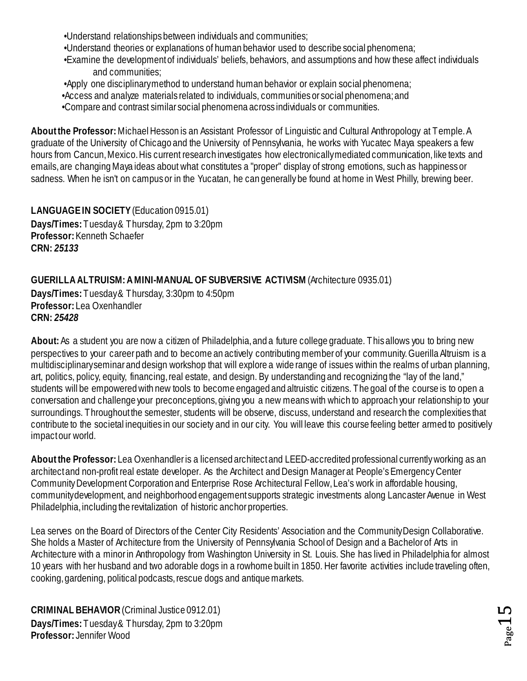•Understand relationships between individuals and communities;

- •Understand theories or explanations of human behavior used to describe social phenomena;
- •Examine the development of individuals' beliefs, behaviors, and assumptions and how these affect individuals and communities;
- •Apply one disciplinary method to understand human behavior or explain social phenomena;
- •Access and analyze materials related to individuals, communities or social phenomena; and
- •Compare and contrast similar social phenomena across individuals or communities.

**About the Professor:**Michael Hesson is an Assistant Professor of Linguistic and Cultural Anthropology at Temple. A graduate of the University of Chicago and the University of Pennsylvania, he works with Yucatec Maya speakers a few hours from Cancun, Mexico. His current research investigates how electronically mediated communication, like texts and emails, are changing Maya ideas about what constitutes a "proper" display of strong emotions, such as happiness or sadness. When he isn't on campus or in the Yucatan, he can generally be found at home in West Philly, brewing beer.

<span id="page-14-0"></span>**LANGUAGE IN SOCIETY** (Education 0915.01) **Days/Times:** Tuesday & Thursday, 2pm to 3:20pm **Professor:** Kenneth Schaefer **CRN:** *25133*

#### <span id="page-14-1"></span>**GUERILLA ALTRUISM: A MINI-MANUAL OF SUBVERSIVE ACTIVISM** (Architecture 0935.01)

**Days/Times:** Tuesday & Thursday, 3:30pm to 4:50pm **Professor:** Lea Oxenhandler **CRN:** *25428*

**About:** As a student you are now a citizen of Philadelphia, and a future college graduate. This allows you to bring new perspectives to your career path and to become an actively contributing member of your community. Guerilla Altruism is a multidisciplinary seminar and design workshop that will explore a wide range of issues within the realms of urban planning, art, politics, policy, equity, financing, real estate, and design. By understanding and recognizing the "lay of the land," students will be empowered with new tools to become engaged and altruistic citizens. The goal of the course is to open a conversation and challenge your preconceptions, giving you a new means with which to approach your relationship to your surroundings. Throughout the semester, students will be observe, discuss, understand and research the complexities that contribute to the societal inequities in our society and in our city. You will leave this course feeling better armed to positively impact our world.

**About the Professor:** Lea Oxenhandler is a licensed architect and LEED-accredited professional currently working as an architect and non-profit real estate developer. As the Architect and Design Manager at People's Emergency Center Community Development Corporation and Enterprise Rose Architectural Fellow, Lea's work in affordable housing, community development, and neighborhood engagement supports strategic investments along Lancaster Avenue in West Philadelphia, including the revitalization of historic anchor properties.

Lea serves on the Board of Directors of the Center City Residents' Association and the Community Design Collaborative. She holds a Master of Architecture from the University of Pennsylvania School of Design and a Bachelor of Arts in Architecture with a minor in Anthropology from Washington University in St. Louis. She has lived in Philadelphia for almost 10 years with her husband and two adorable dogs in a rowhome built in 1850. Her favorite activities include traveling often, cooking, gardening, political podcasts, rescue dogs and antique markets.

<span id="page-14-2"></span>**CRIMINAL BEHAVIOR** (Criminal Justice 0912.01) **Days/Times:** Tuesday & Thursday, 2pm to 3:20pm **Professor:** Jennifer Wood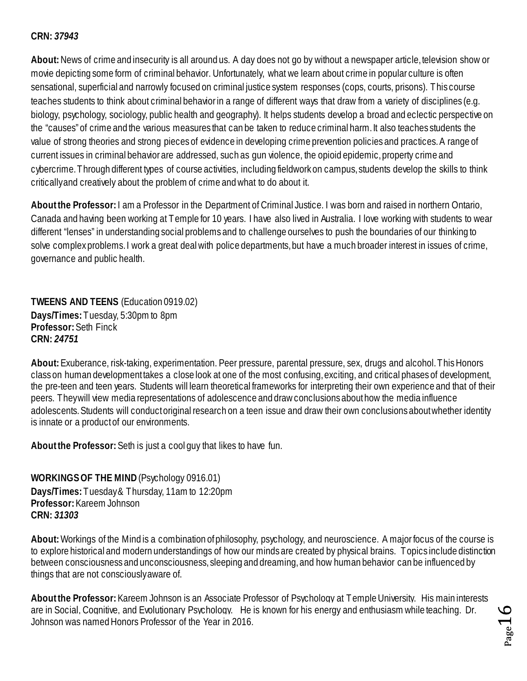#### **CRN:** *37943*

**About:** News of crime and insecurity is all around us. A day does not go by without a newspaper article, television show or movie depicting some form of criminal behavior. Unfortunately, what we learn about crime in popular culture is often sensational, superficial and narrowly focused on criminal justice system responses (cops, courts, prisons). This course teaches students to think about criminal behavior in a range of different ways that draw from a variety of disciplines (e.g. biology, psychology, sociology, public health and geography). It helps students develop a broad and eclectic perspective on the "causes" of crime and the various measures that can be taken to reduce criminal harm. It also teaches students the value of strong theories and strong pieces of evidence in developing crime prevention policies and practices. A range of current issues in criminal behavior are addressed, such as gun violence, the opioid epidemic, property crime and cybercrime. Through different types of course activities, including fieldwork on campus, students develop the skills to think critically and creatively about the problem of crime and what to do about it.

**About the Professor:**I am a Professor in the Department of Criminal Justice. I was born and raised in northern Ontario, Canada and having been working at Temple for 10 years. I have also lived in Australia. I love working with students to wear different "lenses" in understanding social problems and to challenge ourselves to push the boundaries of our thinking to solve complex problems. I work a great deal with police departments, but have a much broader interest in issues of crime, governance and public health.

<span id="page-15-0"></span>**TWEENS AND TEENS** (Education 0919.02) **Days/Times:** Tuesday, 5:30pm to 8pm **Professor:** Seth Finck **CRN:** *24751*

**About:** Exuberance, risk-taking, experimentation. Peer pressure, parental pressure, sex, drugs and alcohol. This Honors class on human development takes a close look at one of the most confusing, exciting, and critical phases of development, the pre-teen and teen years. Students will learn theoretical frameworks for interpreting their own experience and that of their peers. They will view media representations of adolescence and draw conclusions about how the media influence adolescents. Students will conduct original research on a teen issue and draw their own conclusions about whether identity is innate or a product of our environments.

**About the Professor:** Seth is just a cool guy that likes to have fun.

<span id="page-15-1"></span>**WORKINGS OF THE MIND** (Psychology 0916.01) **Days/Times:** Tuesday & Thursday, 11am to 12:20pm **Professor:**Kareem Johnson **CRN:** *31303*

**About:**Workings of the Mind is a combination of philosophy, psychology, and neuroscience. A major focus of the course is to explore historical and modern understandings of how our minds are created by physical brains. Topics include distinction between consciousness and unconsciousness, sleeping and dreaming, and how human behavior can be influenced by things that are not consciously aware of.

**About the Professor:**Kareem Johnson is an Associate Professor of Psychology at Temple University. His main interests are in Social, Cognitive, and Evolutionary Psychology. He is known for his energy and enthusiasm while teaching. Dr. Johnson was named Honors Professor of the Year in 2016.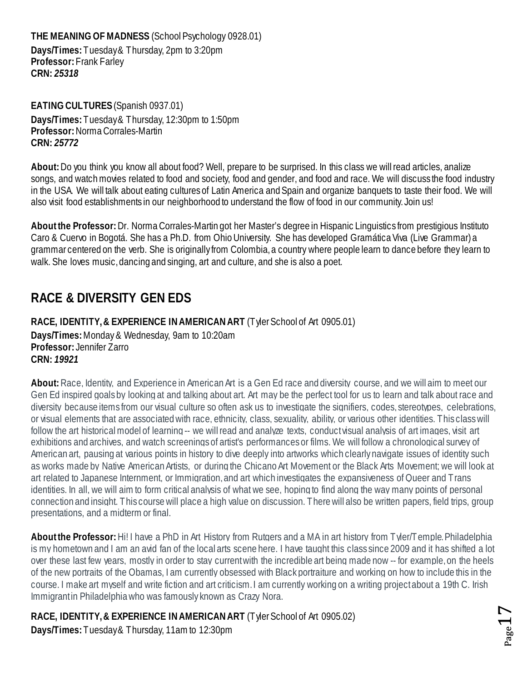<span id="page-16-0"></span>**THE MEANING OF MADNESS** (School Psychology 0928.01) **Days/Times:** Tuesday & Thursday, 2pm to 3:20pm **Professor:** Frank Farley **CRN:** *25318*

<span id="page-16-1"></span>**EATING CULTURES** (Spanish 0937.01) **Days/Times:** Tuesday & Thursday, 12:30pm to 1:50pm **Professor:** Norma Corrales-Martin **CRN:** *25772*

**About:** Do you think you know all about food? Well, prepare to be surprised. In this class we will read articles, analize songs, and watch movies related to food and society, food and gender, and food and race. We will discuss the food industry in the USA. We will talk about eating cultures of Latin America and Spain and organize banquets to taste their food. We will also visit food establishments in our neighborhood to understand the flow of food in our community. Join us!

**About the Professor:** Dr. Norma Corrales-Martin got her Master's degree in Hispanic Linguistics from prestigious Instituto Caro & Cuervo in Bogotá. She has a Ph.D. from Ohio University. She has developed Gramática Viva (Live Grammar) a grammar centered on the verb. She is originally from Colombia, a country where people learn to dance before they learn to walk. She loves music, dancing and singing, art and culture, and she is also a poet.

## <span id="page-16-2"></span>**RACE & DIVERSITY GEN EDS**

<span id="page-16-3"></span>**RACE, IDENTITY, & EXPERIENCE IN AMERICAN ART** (Tyler School of Art 0905.01) **Days/Times:** Monday & Wednesday, 9am to 10:20am **Professor:** Jennifer Zarro **CRN:** *19921*

**About:** Race, Identity, and Experience in American Art is a Gen Ed race and diversity course, and we will aim to meet our Gen Ed inspired goals by looking at and talking about art. Art may be the perfect tool for us to learn and talk about race and diversity because items from our visual culture so often ask us to investigate the signifiers, codes, stereotypes, celebrations, or visual elements that are associated with race, ethnicity, class, sexuality, ability, or various other identities. This class will follow the art historical model of learning -- we will read and analyze texts, conduct visual analysis of art images, visit art exhibitions and archives, and watch screenings of artist's performances or films. We will follow a chronological survey of American art, pausing at various points in history to dive deeply into artworks which clearly navigate issues of identity such as works made by Native American Artists, or during the Chicano Art Movement or the Black Arts Movement; we will look at art related to Japanese Internment, or Immigration, and art which investigates the expansiveness of Queer and Trans identities. In all, we will aim to form critical analysis of what we see, hoping to find along the way many points of personal connection and insight. This course will place a high value on discussion. There will also be written papers, field trips, group presentations, and a midterm or final.

**About the Professor:** Hi! I have a PhD in Art History from Rutgers and a MA in art history from Tyler/Temple. Philadelphia is my hometown and I am an avid fan of the local arts scene here. I have taught this class since 2009 and it has shifted a lot over these last few years, mostly in order to stay current with the incredible art being made now -- for example, on the heels of the new portraits of the Obamas, I am currently obsessed with Black portraiture and working on how to include this in the course. I make art myself and write fiction and art criticism. I am currently working on a writing project about a 19th C. Irish Immigrant in Philadelphia who was famously known as Crazy Nora.

<span id="page-16-4"></span>**RACE, IDENTITY, & EXPERIENCE IN AMERICAN ART** (Tyler School of Art 0905.02) **Days/Times:** Tuesday& Thursday, 11am to 12:30pm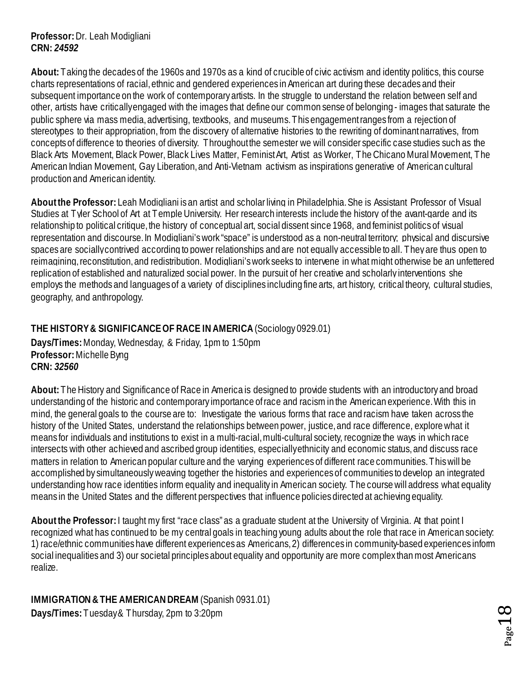**Professor:** Dr. Leah Modigliani **CRN:** *24592*

**About:** Taking the decades of the 1960s and 1970s as a kind of crucible of civic activism and identity politics, this course charts representations of racial, ethnic and gendered experiences in American art during these decades and their subsequent importance on the work of contemporary artists. In the struggle to understand the relation between self and other, artists have critically engaged with the images that define our common sense of belonging - images that saturate the public sphere via mass media, advertising, textbooks, and museums. This engagement ranges from a rejection of stereotypes to their appropriation, from the discovery of alternative histories to the rewriting of dominant narratives, from concepts of difference to theories of diversity. Throughoutthe semester we will consider specific case studies such as the Black Arts Movement, Black Power, Black Lives Matter, Feminist Art, Artist as Worker, The Chicano Mural Movement, The American Indian Movement, Gay Liberation, and Anti-Vietnam activism as inspirations generative of American cultural production and American identity.

**About the Professor:** Leah Modigliani is an artist and scholar living in Philadelphia. She is Assistant Professor of Visual Studies at Tyler School of Art at Temple University. Her research interests include the history of the avant-garde and its relationship to political critique, the history of conceptual art, social dissent since 1968, and feminist politics of visual representation and discourse. In Modigliani's work "space" is understood as a non-neutral territory; physical and discursive spaces are socially contrived according to power relationships and are not equally accessible to all. They are thus open to reimagining, reconstitution, and redistribution. Modigliani's work seeks to intervene in what might otherwise be an unfettered replication of established and naturalized social power. In the pursuit of her creative and scholarly interventions she employs the methods and languages of a variety of disciplines including fine arts, art history, critical theory, cultural studies, geography, and anthropology.

#### <span id="page-17-0"></span>**THE HISTORY & SIGNIFICANCE OF RACE IN AMERICA**(Sociology 0929.01)

**Days/Times:** Monday, Wednesday, & Friday, 1pm to 1:50pm **Professor:** Michelle Byng **CRN:** *32560*

**About:** The History and Significance of Race in America is designed to provide students with an introductory and broad understanding of the historic and contemporary importance of race and racism in the American experience. With this in mind, the general goals to the course are to: Investigate the various forms that race and racism have taken across the history of the United States, understand the relationships between power, justice, and race difference, explore what it means for individuals and institutions to exist in a multi-racial, multi-cultural society, recognize the ways in which race intersects with other achieved and ascribed group identities, especially ethnicity and economic status, and discuss race matters in relation to American popular culture and the varying experiences of different race communities. This will be accomplished by simultaneously weaving together the histories and experiences of communities to develop an integrated understanding how race identities inform equality and inequality in American society. The course will address what equality means in the United States and the different perspectives that influence policies directed at achieving equality.

**About the Professor:** I taught my first "race class" as a graduate student at the University of Virginia. At that point I recognized what has continued to be my central goals in teaching young adults about the role that race in American society: 1) race/ethnic communities have different experiences as Americans, 2) differences in community-based experiences inform social inequalities and 3) our societal principles about equality and opportunity are more complex than most Americans realize.

<span id="page-17-1"></span>**IMMIGRATION & THE AMERICAN DREAM** (Spanish 0931.01) **Days/Times:** Tuesday & Thursday, 2pm to 3:20pm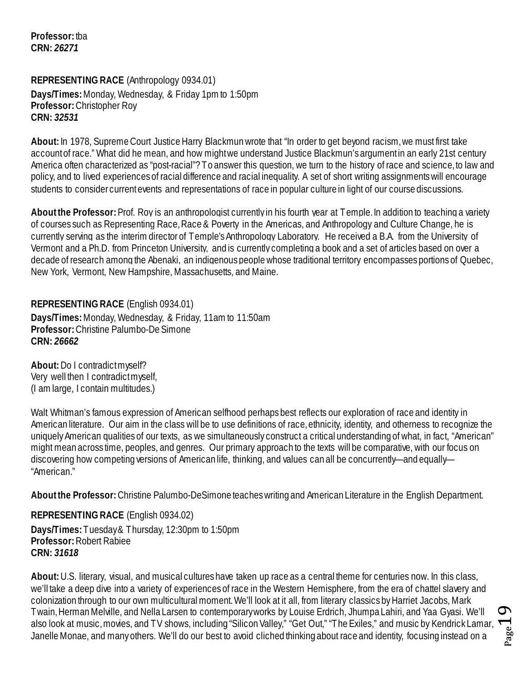**Professor:** tba **CRN:** *26271*

<span id="page-18-0"></span>**REPRESENTING RACE** (Anthropology 0934.01) **Days/Times:** Monday, Wednesday, & Friday 1pm to 1:50pm **Professor:** Christopher Roy **CRN:** *32531*

**About:**In 1978, Supreme Court Justice Harry Blackmun wrote that "In order to get beyond racism, we must first take account of race." What did he mean, and how might we understand Justice Blackmun's argument in an early 21st century America often characterized as "post-racial"? To answer this question, we turn to the history of race and science, to law and policy, and to lived experiences of racial difference and racial inequality. A set of short writing assignments will encourage students to consider current events and representations of race in popular culture in light of our course discussions.

**About the Professor:**Prof. Roy is an anthropologist currently in his fourth year at Temple. In addition to teaching a variety of courses such as Representing Race, Race & Poverty in the Americas, and Anthropology and Culture Change, he is currently serving as the interim director of Temple's Anthropology Laboratory. He received a B.A. from the University of Vermont and a Ph.D. from Princeton University, and is currently completing a book and a set of articles based on over a decade of research among the Abenaki, an indigenous people whose traditional territory encompasses portions of Quebec, New York, Vermont, New Hampshire, Massachusetts, and Maine.

<span id="page-18-1"></span>**REPRESENTING RACE** (English 0934.01) **Days/Times:** Monday, Wednesday, & Friday, 11am to 11:50am **Professor:** Christine Palumbo-De Simone **CRN:** *26662*

**About:**Do I contradict myself? Very well then I contradict myself, (I am large, I contain multitudes.)

Walt Whitman's famous expression of American selfhood perhaps best reflects our exploration of race and identity in American literature. Our aim in the class will be to use definitions of race, ethnicity, identity, and otherness to recognize the uniquely American qualities of our texts, as we simultaneously construct a critical understanding of what, in fact, "American" might mean across time, peoples, and genres. Our primary approach to the texts will be comparative, with our focus on discovering how competing versions of American life, thinking, and values can all be concurrently—and equally— "American."

**About the Professor:** Christine Palumbo-DeSimone teaches writing and American Literature in the English Department.

<span id="page-18-2"></span>**REPRESENTING RACE** (English 0934.02) **Days/Times:** Tuesday & Thursday, 12:30pm to 1:50pm **Professor:** Robert Rabiee **CRN:** *31618*

**About:** U.S. literary, visual, and musical cultures have taken up race as a central theme for centuries now. In this class, we'll take a deep dive into a variety of experiences of race in the Western Hemisphere, from the era of chattel slavery and colonization through to our own multicultural moment. We'll look at it all, from literary classics by Harriet Jacobs, Mark Twain, Herman Melville, and Nella Larsen to contemporary works by Louise Erdrich, Jhumpa Lahiri, and Yaa Gyasi. We'll also look at music, movies, and TV shows, including "Silicon Valley," "Get Out," "The Exiles," and music by Kendrick Lamar, Janelle Monae, and many others. We'll do our best to avoid cliched thinking about race and identity, focusing instead on a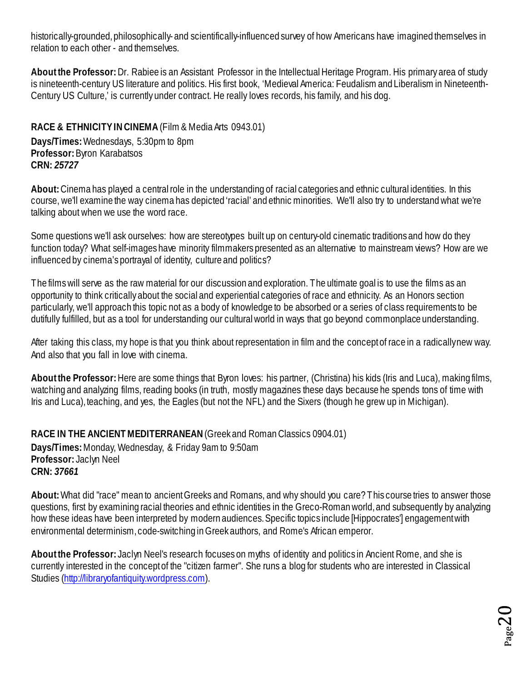historically-grounded, philosophically- and scientifically-influenced survey of how Americans have imagined themselves in relation to each other - and themselves.

**About the Professor:** Dr. Rabiee is an Assistant Professor in the Intellectual Heritage Program. His primary area of study is nineteenth-century US literature and politics. His first book, 'Medieval America: Feudalism and Liberalism in Nineteenth-Century US Culture,' is currently under contract. He really loves records, his family, and his dog.

<span id="page-19-0"></span>**RACE & ETHNICITY IN CINEMA**(Film & Media Arts 0943.01) **Days/Times:** Wednesdays, 5:30pm to 8pm **Professor:** Byron Karabatsos **CRN:** *25727*

**About:** Cinema has played a central role in the understanding of racial categories and ethnic cultural identities. In this course, we'll examine the way cinema has depicted 'racial' and ethnic minorities. We'll also try to understand what we're talking about when we use the word race.

Some questions we'll ask ourselves: how are stereotypes built up on century-old cinematic traditions and how do they function today? What self-images have minority filmmakers presented as an alternative to mainstream views? How are we influenced by cinema's portrayal of identity, culture and politics?

The films will serve as the raw material for our discussion and exploration. The ultimate goal is to use the films as an opportunity to think critically about the social and experiential categories of race and ethnicity. As an Honors section particularly, we'll approach this topic not as a body of knowledge to be absorbed or a series of class requirements to be dutifully fulfilled, but as a tool for understanding our cultural world in ways that go beyond commonplace understanding.

After taking this class, my hope is that you think about representation in film and the concept of race in a radically new way. And also that you fall in love with cinema.

**About the Professor:** Here are some things that Byron loves: his partner, (Christina) his kids (Iris and Luca), making films, watching and analyzing films, reading books (in truth, mostly magazines these days because he spends tons of time with Iris and Luca), teaching, and yes, the Eagles (but not the NFL) and the Sixers (though he grew up in Michigan).

<span id="page-19-1"></span>**RACE IN THE ANCIENT MEDITERRANEAN** (Greek and Roman Classics 0904.01)

**Days/Times:** Monday, Wednesday, & Friday 9am to 9:50am **Professor:** Jaclyn Neel **CRN:** *37661*

**About:** What did "race" mean to ancient Greeks and Romans, and why should you care? This course tries to answer those questions, first by examining racial theories and ethnic identities in the Greco-Roman world, and subsequently by analyzing how these ideas have been interpreted by modern audiences. Specific topics include [Hippocrates'] engagement with environmental determinism, code-switching in Greek authors, and Rome's African emperor.

**About the Professor:** Jaclyn Neel's research focuses on myths of identity and politics in Ancient Rome, and she is currently interested in the concept of the "citizen farmer". She runs a blog for students who are interested in Classical Studies [\(http://libraryofantiquity.wordpress.com\).](http://libraryofantiquity.wordpress.com/)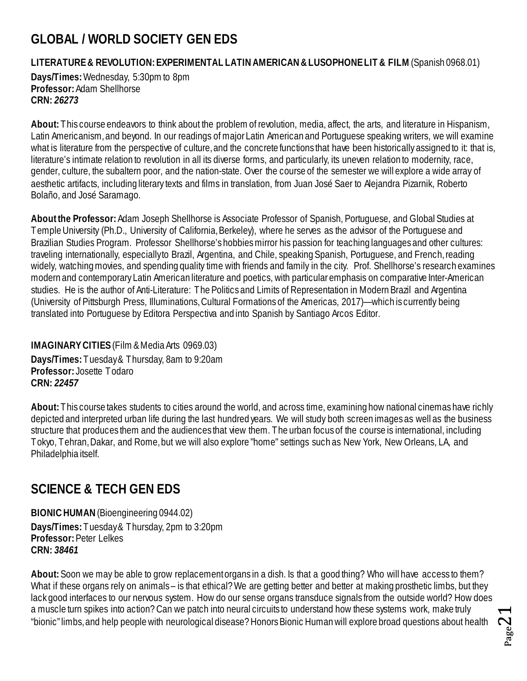## <span id="page-20-0"></span>**GLOBAL / WORLD SOCIETY GEN EDS**

<span id="page-20-1"></span>**LITERATURE & REVOLUTION: EXPERIMENTAL LATIN AMERICAN & LUSOPHONE LIT & FILM** (Spanish 0968.01)

**Days/Times:** Wednesday, 5:30pm to 8pm **Professor:** Adam Shellhorse **CRN:** *26273*

**About:** This course endeavors to think about the problem of revolution, media, affect, the arts, and literature in Hispanism, Latin Americanism, and beyond. In our readings of major Latin American and Portuguese speaking writers, we will examine what is literature from the perspective of culture, and the concrete functions that have been historically assigned to it: that is, literature's intimate relation to revolution in all its diverse forms, and particularly, its uneven relation to modernity, race, gender, culture, the subaltern poor, and the nation-state. Over the course of the semester we will explore a wide array of aesthetic artifacts, including literary texts and films in translation, from Juan José Saer to Alejandra Pizarnik, Roberto Bolaño, and José Saramago.

**About the Professor:** Adam Joseph Shellhorse is Associate Professor of Spanish, Portuguese, and Global Studies at Temple University (Ph.D., University of California, Berkeley), where he serves as the advisor of the Portuguese and Brazilian Studies Program. Professor Shellhorse's hobbies mirror his passion for teaching languages and other cultures: traveling internationally, especially to Brazil, Argentina, and Chile, speaking Spanish, Portuguese, and French, reading widely, watching movies, and spending quality time with friends and family in the city. Prof. Shellhorse's research examines modern and contemporary Latin American literature and poetics, with particular emphasis on comparative Inter-American studies. He is the author of Anti-Literature: The Politics and Limits of Representation in Modern Brazil and Argentina (University of Pittsburgh Press, Illuminations, Cultural Formations of the Americas, 2017)—which is currently being translated into Portuguese by Editora Perspectiva and into Spanish by Santiago Arcos Editor.

#### <span id="page-20-2"></span>**IMAGINARY CITIES**(Film & Media Arts 0969.03) **Days/Times:** Tuesday & Thursday, 8am to 9:20am **Professor:** Josette Todaro **CRN:** *22457*

**About:** This course takes students to cities around the world, and across time, examining how national cinemas have richly depicted and interpreted urban life during the last hundred years. We will study both screen images as well as the business structure that produces them and the audiences that view them. The urban focus of the course is international, including Tokyo, Tehran, Dakar, and Rome, but we will also explore "home" settings such as New York, New Orleans, LA, and Philadelphia itself.

## <span id="page-20-3"></span>**SCIENCE & TECH GEN EDS**

<span id="page-20-4"></span>**BIONIC HUMAN**(Bioengineering 0944.02) **Days/Times:** Tuesday & Thursday, 2pm to 3:20pm **Professor:** Peter Lelkes **CRN:** *38461*

**About:** Soon we may be able to grow replacement organs in a dish. Is that a good thing? Who will have access to them? What if these organs rely on animals – is that ethical? We are getting better and better at making prosthetic limbs, but they lack good interfaces to our nervous system. How do our sense organs transduce signals from the outside world? How does a muscle turn spikes into action? Can we patch into neural circuits to understand how these systems work, make truly "bionic" limbs, and help people with neurological disease? Honors Bionic Human will explore broad questions about health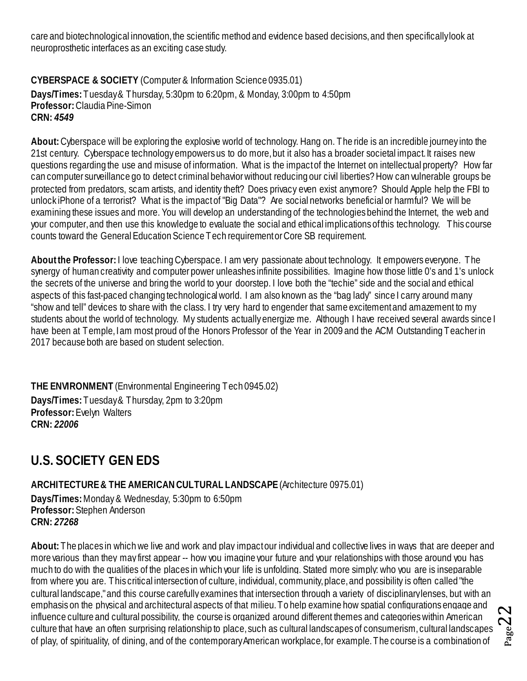care and biotechnological innovation, the scientific method and evidence based decisions, and then specifically look at neuroprosthetic interfaces as an exciting case study.

<span id="page-21-0"></span>**CYBERSPACE & SOCIETY** (Computer & Information Science 0935.01) **Days/Times:** Tuesday & Thursday, 5:30pm to 6:20pm, & Monday, 3:00pm to 4:50pm **Professor:** Claudia Pine-Simon **CRN:** *4549*

**About:** Cyberspace will be exploring the explosive world of technology. Hang on. The ride is an incredible journey into the 21st century. Cyberspace technology empowers us to do more, but it also has a broader societal impact. It raises new questions regarding the use and misuse of information. What is the impact of the Internet on intellectual property? How far can computer surveillance go to detect criminal behavior without reducing our civil liberties? How can vulnerable groups be protected from predators, scam artists, and identity theft? Does privacy even exist anymore? Should Apple help the FBI to unlock iPhone of a terrorist? What is the impact of "Big Data"? Are social networks beneficial or harmful? We will be examining these issues and more. You will develop an understanding of the technologies behind the Internet, the web and your computer, and then use this knowledge to evaluate the social and ethical implications of this technology. This course counts toward the General Education Science Tech requirement or Core SB requirement.

**About the Professor:** I love teaching Cyberspace. I am very passionate about technology. It empowers everyone. The synergy of human creativity and computer power unleashes infinite possibilities. Imagine how those little 0's and 1's unlock the secrets of the universe and bring the world to your doorstep. I love both the "techie" side and the social and ethical aspects of this fast-paced changing technological world. I am also known as the "bag lady" since I carry around many "show and tell" devices to share with the class. I try very hard to engender that same excitement and amazement to my students about the world of technology. My students actually energize me. Although I have received several awards since I have been at Temple, I am most proud of the Honors Professor of the Year in 2009 and the ACM Outstanding Teacher in 2017 because both are based on student selection.

<span id="page-21-1"></span>**THE ENVIRONMENT** (Environmental Engineering Tech 0945.02) **Days/Times:** Tuesday & Thursday, 2pm to 3:20pm **Professor:** Evelyn Walters **CRN:** *22006*

## <span id="page-21-2"></span>**U.S. SOCIETY GEN EDS**

<span id="page-21-3"></span>**ARCHITECTURE & THE AMERICAN CULTURAL LANDSCAPE** (Architecture 0975.01)

**Days/Times:** Monday & Wednesday, 5:30pm to 6:50pm **Professor:** Stephen Anderson **CRN:** *27268*

**About:** The places in which we live and work and play impact our individual and collective lives in ways that are deeper and more various than they may first appear -- how you imagine your future and your relationships with those around you has much to do with the qualities of the places in which your life is unfolding. Stated more simply: who you are is inseparable from where you are. This critical intersection of culture, individual, community, place, and possibility is often called "the cultural landscape," and this course carefully examines that intersection through a variety of disciplinary lenses, but with an emphasis on the physical and architectural aspects of that milieu. To help examine how spatial configurations engage and influence culture and cultural possibility, the course is organized around different themes and categories within American culture that have an often surprising relationship to place, such as cultural landscapes of consumerism, cultural landscapes of play, of spirituality, of dining, and of the contemporary American workplace, for example. The course is a combination of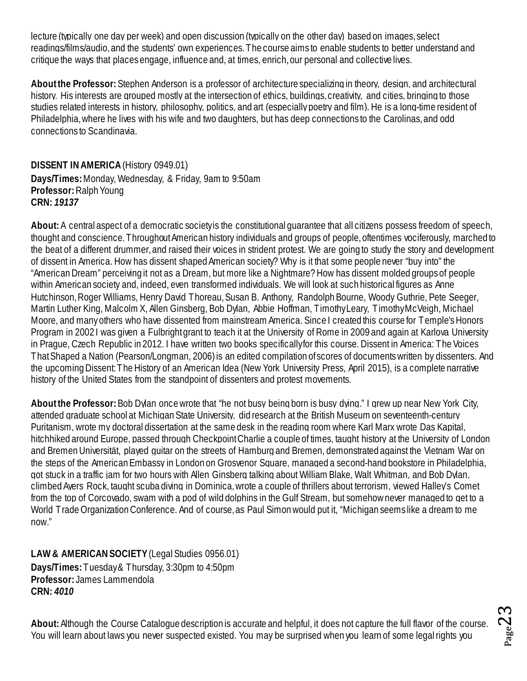lecture (typically one day per week) and open discussion (typically on the other day) based on images, select readings/films/audio, and the students' own experiences. The course aims to enable students to better understand and critique the ways that places engage, influence and, at times, enrich, our personal and collective lives.

**About the Professor:**Stephen Anderson is a professor of architecture specializing in theory, design, and architectural history. His interests are grouped mostly at the intersection of ethics, buildings, creativity, and cities, bringing to those studies related interests in history, philosophy, politics, and art (especially poetry and film). He is a long-time resident of Philadelphia, where he lives with his wife and two daughters, but has deep connections to the Carolinas, and odd connections to Scandinavia.

#### <span id="page-22-0"></span>**DISSENT IN AMERICA** (History 0949.01)

**Days/Times:** Monday, Wednesday, & Friday, 9am to 9:50am **Professor:** Ralph Young **CRN:** *19137*

About: A central aspect of a democratic society is the constitutional guarantee that all citizens possess freedom of speech, thought and conscience. Throughout American history individuals and groups of people, oftentimes vociferously, marched to the beat of a different drummer, and raised their voices in strident protest. We are going to study the story and development of dissent in America. How has dissent shaped American society? Why is it that some people never "buy into" the "AmericanDream" perceiving it not as a Dream, but more like a Nightmare? How has dissent molded groups of people within American society and, indeed, even transformed individuals. We will look at such historical figures as Anne Hutchinson, Roger Williams, Henry David Thoreau, Susan B. Anthony, Randolph Bourne, Woody Guthrie, Pete Seeger, Martin Luther King, Malcolm X, Allen Ginsberg, Bob Dylan, Abbie Hoffman, Timothy Leary, Timothy McVeigh, Michael Moore, and many others who have dissented from mainstream America. Since I created this course for Temple's Honors Program in 2002 I was given a Fulbright grant to teach it at the University of Rome in 2009 and again at Karlova University in Prague, Czech Republic in 2012. I have written two books specifically for this course. Dissent in America: The Voices That Shaped a Nation (Pearson/Longman, 2006) is an edited compilation of scores of documents written by dissenters. And the upcoming Dissent: The History of an American Idea (New York University Press, April 2015), is a complete narrative history of the United States from the standpoint of dissenters and protest movements.

**About the Professor:** Bob Dylan once wrote that "he not busy being born is busy dying." I grew up near New York City, attended graduate school at Michigan State University, did research at the British Museum on seventeenth-century Puritanism, wrote my doctoral dissertation at the same desk in the reading room where Karl Marx wrote Das Kapital, hitchhiked around Europe, passed through Checkpoint Charlie a couple of times, taught history at the University of London and Bremen Universität, played guitar on the streets of Hamburg and Bremen, demonstrated against the Vietnam War on the steps of the American Embassy in London on Grosvenor Square, managed a second-hand bookstore in Philadelphia, got stuck in a traffic jam for two hours with Allen Ginsberg talking about William Blake, Walt Whitman, and Bob Dylan, climbed Ayers Rock, taught scuba diving in Dominica, wrote a couple of thrillers about terrorism, viewed Halley's Comet from the top of Corcovado, swam with a pod of wild dolphins in the Gulf Stream, but somehow never managed to get to a World Trade Organization Conference. And of course, as Paul Simon would put it, "Michigan seems like a dream to me now."

<span id="page-22-1"></span>**LAW & AMERICAN SOCIETY**(Legal Studies 0956.01) **Days/Times:** Tuesday & Thursday, 3:30pm to 4:50pm **Professor:** James Lammendola **CRN:** *4010*

**About:** Although the Course Catalogue description is accurate and helpful, it does not capture the full flavor of the course. You will learn about laws you never suspected existed. You may be surprised when you learn of some legal rights you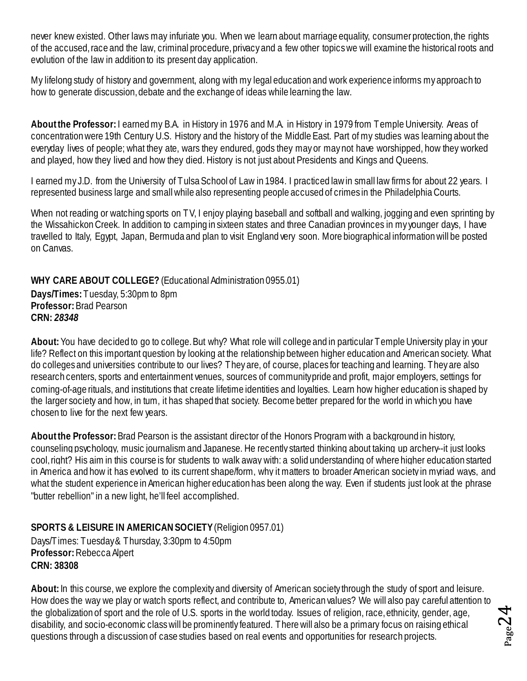never knew existed. Other laws may infuriate you. When we learn about marriage equality, consumer protection, the rights of the accused, race and the law, criminal procedure, privacy and a few other topics we will examine the historical roots and evolution of the law in addition to its present day application.

My lifelong study of history and government, along with my legal education and work experience informs my approach to how to generate discussion, debate and the exchange of ideas while learning the law.

**About the Professor:** I earned my B.A. in History in 1976 and M.A. in History in 1979 from Temple University. Areas of concentration were 19th Century U.S. History and the history of the Middle East. Part of my studies was learning about the everyday lives of people; what they ate, wars they endured, gods they may or may not have worshipped, how they worked and played, how they lived and how they died. History is not just about Presidents and Kings and Queens.

I earned my J.D. from the University of Tulsa School of Law in 1984. I practiced law in small law firms for about 22 years. I represented business large and small while also representing people accused of crimes in the Philadelphia Courts.

When not reading or watching sports on TV, I enjoy playing baseball and softball and walking, jogging and even sprinting by the Wissahickon Creek. In addition to camping in sixteen states and three Canadian provinces in my younger days, I have travelled to Italy, Egypt, Japan, Bermuda and plan to visit England very soon. More biographical information will be posted on Canvas.

<span id="page-23-0"></span>**WHY CARE ABOUT COLLEGE?** (Educational Administration 0955.01)

**Days/Times:** Tuesday, 5:30pm to 8pm **Professor:** Brad Pearson **CRN:** *28348*

**About:** You have decided to go to college. But why? What role will college and in particular Temple University play in your life? Reflect on this important question by looking at the relationship between higher education and American society. What do colleges and universities contribute to our lives? They are, of course, places for teaching and learning. They are also research centers, sports and entertainment venues, sources of community pride and profit, major employers, settings for coming-of-age rituals, and institutions that create lifetime identities and loyalties. Learn how higher education is shaped by the larger society and how, in tum, it has shaped that society. Become better prepared for the world in which you have chosen to live for the next few years.

**About the Professor:** Brad Pearson is the assistant director of the Honors Program with a background in history, counseling psychology, music journalism and Japanese. He recently started thinking about taking up archery--it just looks cool, right? His aim in this course is for students to walk away with: a solid understanding of where higher education started in America and how it has evolved to its current shape/form, why it matters to broader American society in myriad ways, and what the student experience in American higher education has been along the way. Even if students just look at the phrase "butter rebellion" in a new light, he'll feel accomplished.

#### <span id="page-23-1"></span>**SPORTS & LEISURE IN AMERICAN SOCIETY**(Religion 0957.01)

Days/Times: Tuesday & Thursday, 3:30pm to 4:50pm **Professor:** Rebecca Alpert **CRN: 38308**

**About:** In this course, we explore the complexity and diversity of American society through the study of sport and leisure. How does the way we play or watch sports reflect, and contribute to, American values? We will also pay careful attention to the globalization of sport and the role of U.S. sports in the world today. Issues of religion, race, ethnicity, gender, age, disability, and socio-economic class will be prominently featured. There will also be a primary focus on raising ethical questions through a discussion of case studies based on real events and opportunities for research projects.

 $_{\rm Page}$ 24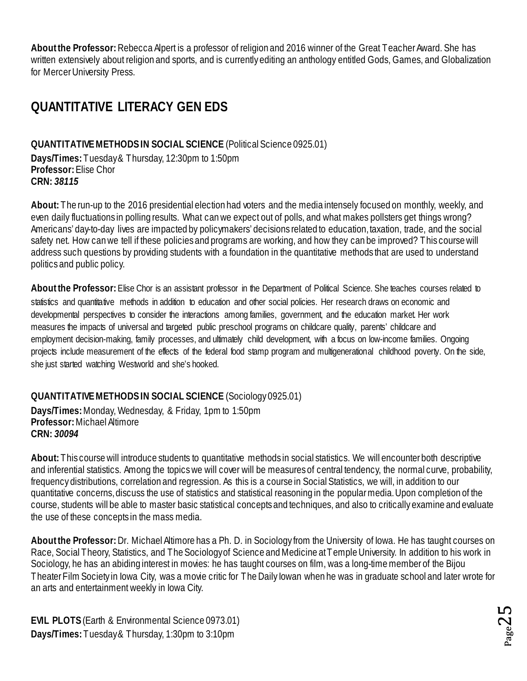**About the Professor:** Rebecca Alpert is a professor of religion and 2016 winner of the Great Teacher Award. She has written extensively about religion and sports, and is currently editing an anthology entitled Gods, Games, and Globalization for Mercer University Press.

## <span id="page-24-0"></span>**QUANTITATIVE LITERACY GEN EDS**

#### <span id="page-24-1"></span>**QUANTITATIVE METHODS IN SOCIAL SCIENCE** (Political Science 0925.01) **Days/Times:** Tuesday & Thursday, 12:30pm to 1:50pm

**Professor:** Elise Chor **CRN:** *38115*

**About:** The run-up to the 2016 presidential election had voters and the media intensely focused on monthly, weekly, and even daily fluctuations in polling results. What can we expect out of polls, and what makes pollsters get things wrong? Americans' day-to-day lives are impacted by policymakers' decisions related to education, taxation, trade, and the social safety net. How can we tell if these policies and programs are working, and how they can be improved? This course will address such questions by providing students with a foundation in the quantitative methods that are used to understand politics and public policy.

**About the Professor:** Elise Chor is an assistant professor in the Department of Political Science. She teaches courses related to statistics and quantitative methods in addition to education and other social policies. Her research draws on economic and developmental perspectives to consider the interactions among families, government, and the education market. Her work measures the impacts of universal and targeted public preschool programs on childcare quality, parents' childcare and employment decision-making, family processes, and ultimately child development, with a focus on low-income families. Ongoing projects include measurement of the effects of the federal food stamp program and multigenerational childhood poverty. On the side, she just started watching Westworld and she's hooked.

#### <span id="page-24-2"></span>**QUANTITATIVE METHODS IN SOCIAL SCIENCE** (Sociology 0925.01)

**Days/Times:** Monday, Wednesday, & Friday, 1pm to 1:50pm **Professor:** Michael Altimore **CRN:** *30094*

**About:** This course will introduce students to quantitative methods in social statistics. We will encounter both descriptive and inferential statistics. Among the topics we will cover will be measures of central tendency, the normal curve, probability, frequency distributions, correlation and regression. As this is a course in Social Statistics, we will, in addition to our quantitative concerns, discuss the use of statistics and statistical reasoning in the popular media. Upon completion of the course, students will be able to master basic statistical concepts and techniques, and also to critically examine and evaluate the use of these concepts in the mass media.

**About the Professor:** Dr. Michael Altimore has a Ph. D. in Sociology from the University of Iowa. He has taught courses on Race, Social Theory, Statistics, and The Sociology of Science and Medicine at Temple University. In addition to his work in Sociology, he has an abiding interest in movies: he has taught courses on film, was a long-time member of the Bijou Theater Film Society in Iowa City, was a movie critic for The Daily Iowan when he was in graduate school and later wrote for an arts and entertainment weekly in Iowa City.

<span id="page-24-3"></span>**EVIL PLOTS**(Earth & Environmental Science 0973.01) **Days/Times:** Tuesday & Thursday, 1:30pm to 3:10pm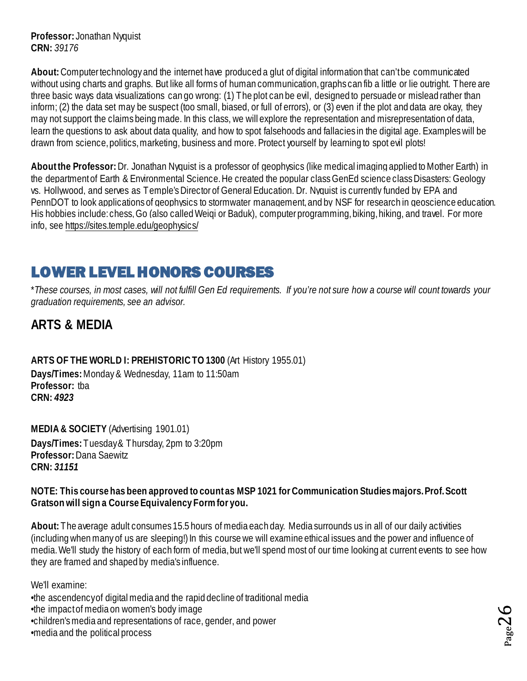**Professor:** Jonathan Nyquist **CRN:** *39176*

**About:** Computer technology and the internet have produced a glut of digital information that can't be communicated without using charts and graphs. But like all forms of human communication, graphs can fib a little or lie outright. There are three basic ways data visualizations can go wrong: (1) The plot can be evil, designed to persuade or mislead rather than inform; (2) the data set may be suspect (too small, biased, or full of errors), or (3) even if the plot and data are okay, they may not support the claims being made. In this class, we will explore the representation and misrepresentation of data, learn the questions to ask about data quality, and how to spot falsehoods and fallacies in the digital age. Examples will be drawn from science, politics, marketing, business and more. Protect yourself by learning to spot evil plots!

**About the Professor:** Dr. Jonathan Nyquist is a professor of geophysics (like medical imaging applied to Mother Earth) in the department of Earth & Environmental Science. He created the popular class GenEd science class Disasters: Geology vs. Hollywood, and serves as Temple's Director of General Education. Dr. Nyquist is currently funded by EPA and PennDOT to look applications of geophysics to stormwater management, and by NSF for research in geoscience education. His hobbies include: chess, Go (also called Weigi or Baduk), computer programming, biking, hiking, and travel. For more info, see<https://sites.temple.edu/geophysics/>

## <span id="page-25-0"></span>LOWER LEVEL HONORS COURSES

\**These courses, in most cases, will not fulfill Gen Ed requirements. If you're not sure how a course will count towards your graduation requirements, see an advisor.*

## <span id="page-25-1"></span>**ARTS & MEDIA**

<span id="page-25-2"></span>**ARTS OF THE WORLD I: PREHISTORIC TO 1300** (Art History 1955.01)

**Days/Times:** Monday & Wednesday, 11am to 11:50am **Professor:** tba **CRN:** *4923*

<span id="page-25-3"></span>**MEDIA & SOCIETY** (Advertising 1901.01) **Days/Times:** Tuesday & Thursday, 2pm to 3:20pm **Professor:** Dana Saewitz **CRN:** *31151*

#### **NOTE: This course has been approved to count as MSP 1021 for Communication Studies majors. Prof. Scott Gratson will sign a Course Equivalency Form for you.**

**About:** The average adult consumes 15.5 hours of media each day. Media surrounds us in all of our daily activities (including when many of us are sleeping!) In this course we will examine ethical issues and the power and influence of media. We'll study the history of each form of media, but we'll spend most of our time looking at current events to see how they are framed and shaped by media's influence.

We'll examine:

- •the ascendency of digital media and the rapid decline of traditional media
- •the impact of media on women's body image
- •children's media and representations of race, gender, and power
- •media and the political process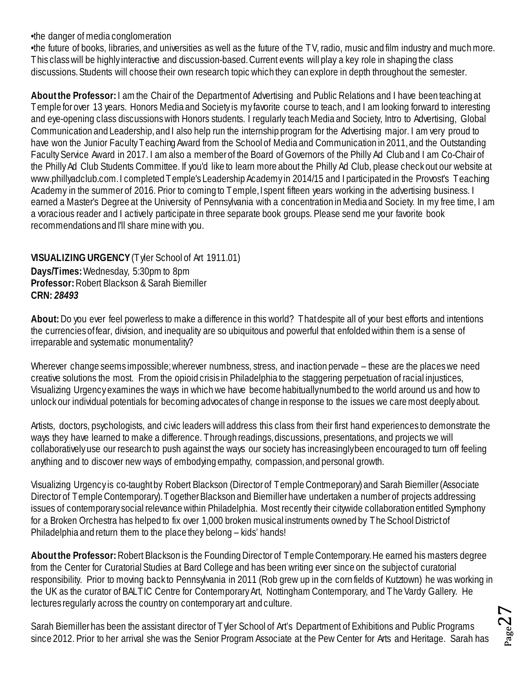•the danger of media conglomeration

•the future of books, libraries, and universities as well as the future of the TV, radio, music and film industry and much more. This class will be highly interactive and discussion-based. Current events will play a key role in shaping the class discussions. Students will choose their own research topic which they can explore in depth throughout the semester.

**About the Professor:** I am the Chair of the Department of Advertising and Public Relations and I have been teaching at Temple for over 13 years. Honors Media and Society is my favorite course to teach, and I am looking forward to interesting and eye-opening class discussions with Honors students. I regularly teach Media and Society, Intro to Advertising, Global Communication and Leadership, and I also help run the internship program for the Advertising major. I am very proud to have won the Junior Faculty Teaching Award from the School of Media and Communication in 2011, and the Outstanding Faculty Service Award in 2017. I am also a member of the Board of Governors of the Philly Ad Club and I am Co-Chair of the Philly Ad Club Students Committee. If you'd like to learn more about the Philly Ad Club, please check out our website at www.phillyadclub.com. I completed Temple's Leadership Academy in 2014/15 and I participated in the Provost's Teaching Academy in the summer of 2016. Prior to coming to Temple, I spent fifteen years working in the advertising business. I earned a Master's Degree at the University of Pennsylvania with a concentration in Media and Society. In my free time, I am a voracious reader and I actively participate in three separate book groups. Please send me your favorite book recommendations and I'll share mine with you.

#### <span id="page-26-0"></span>**VISUALIZING URGENCY**(Tyler School of Art 1911.01)

**Days/Times:** Wednesday, 5:30pm to 8pm **Professor:** Robert Blackson & Sarah Biemiller **CRN:** *28493*

**About:** Do you ever feel powerless to make a difference in this world? That despite all of your best efforts and intentions the currencies of fear, division, and inequality are so ubiquitous and powerful that enfolded within them is a sense of irreparable and systematic monumentality?

Wherever change seems impossible; wherever numbness, stress, and inaction pervade – these are the places we need creative solutions the most. From the opioid crisis in Philadelphia to the staggering perpetuation of racial injustices, Visualizing Urgency examines the ways in which we have become habitually numbed to the world around us and how to unlock our individual potentials for becoming advocates of change in response to the issues we care most deeply about.

Artists, doctors, psychologists, and civic leaders will address this class from their first hand experiences to demonstrate the ways they have learned to make a difference. Through readings, discussions, presentations, and projects we will collaboratively use our research to push against the ways our society has increasingly been encouraged to turn off feeling anything and to discover new ways of embodying empathy, compassion, and personal growth.

Visualizing Urgency is co-taught by Robert Blackson (Director of Temple Contmeporary) and Sarah Biemiller (Associate Director of Temple Contemporary). Together Blackson and Biemiller have undertaken a number of projects addressing issues of contemporary social relevance within Philadelphia. Most recently their citywide collaboration entitled Symphony for a Broken Orchestra has helped to fix over 1,000 broken musical instruments owned by The School District of Philadelphia and return them to the place they belong – kids' hands!

**About the Professor:** Robert Blackson is the Founding Director of Temple Contemporary. He earned his masters degree from the Center for Curatorial Studies at Bard College and has been writing ever since on the subject of curatorial responsibility. Prior to moving back to Pennsylvania in 2011 (Rob grew up in the corn fields of Kutztown) he was working in the UK as the curator of BALTIC Centre for Contemporary Art, Nottingham Contemporary, and The Vardy Gallery. He lectures regularly across the country on contemporary art and culture.

Sarah Biemiller has been the assistant director of Tyler School of Art's Department of Exhibitions and Public Programs since 2012. Prior to her arrival she was the Senior Program Associate at the Pew Center for Arts and Heritage. Sarah has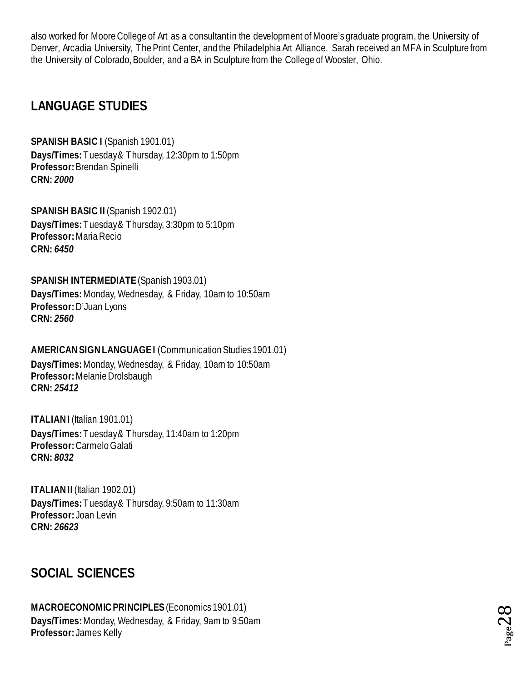also worked for Moore College of Art as a consultant in the development of Moore's graduate program, the University of Denver, Arcadia University, The Print Center, and the Philadelphia Art Alliance. Sarah received an MFA in Sculpture from the University of Colorado, Boulder, and a BA in Sculpture from the College of Wooster, Ohio.

## <span id="page-27-0"></span>**LANGUAGE STUDIES**

<span id="page-27-1"></span>**SPANISH BASIC I** (Spanish 1901.01) **Days/Times:** Tuesday & Thursday, 12:30pm to 1:50pm **Professor:** Brendan Spinelli **CRN:** *2000*

<span id="page-27-2"></span>**SPANISH BASIC II** (Spanish 1902.01) **Days/Times:** Tuesday & Thursday, 3:30pm to 5:10pm **Professor:** Maria Recio **CRN:** *6450*

#### <span id="page-27-3"></span>**SPANISH INTERMEDIATE** (Spanish 1903.01)

**Days/Times:** Monday, Wednesday, & Friday, 10am to 10:50am **Professor:** D'Juan Lyons **CRN:** *2560*

#### <span id="page-27-4"></span>**AMERICAN SIGN LANGUAGE I** (Communication Studies 1901.01)

**Days/Times:** Monday, Wednesday, & Friday, 10am to 10:50am **Professor:** Melanie Drolsbaugh **CRN:** *25412*

<span id="page-27-5"></span>**ITALIAN I (Italian 1901.01) Days/Times:** Tuesday & Thursday, 11:40am to 1:20pm **Professor:** Carmelo Galati **CRN:** *8032*

<span id="page-27-6"></span>**ITALIAN II** (Italian 1902.01) **Days/Times:** Tuesday & Thursday, 9:50am to 11:30am **Professor:** Joan Levin **CRN:** *26623*

## <span id="page-27-7"></span>**SOCIAL SCIENCES**

#### <span id="page-27-8"></span>**MACROECONOMIC PRINCIPLES** (Economics 1901.01) **Days/Times:** Monday, Wednesday, & Friday, 9am to 9:50am **Professor:** James Kelly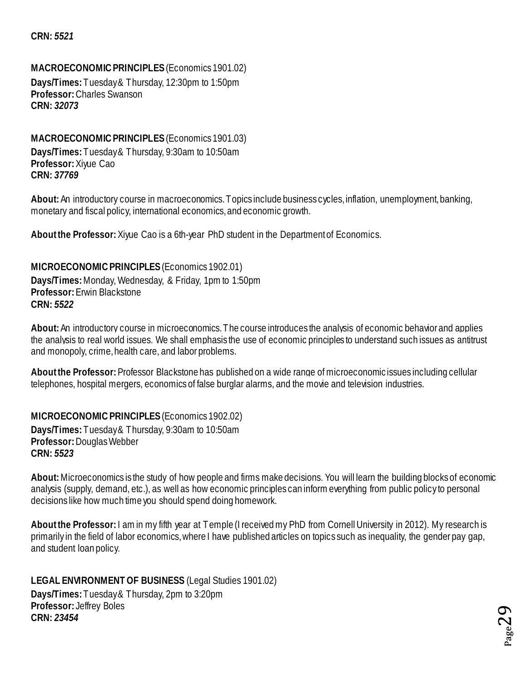#### **CRN:** *5521*

#### <span id="page-28-0"></span>**MACROECONOMIC PRINCIPLES** (Economics 1901.02)

**Days/Times:** Tuesday & Thursday, 12:30pm to 1:50pm **Professor:** Charles Swanson **CRN:** *32073*

#### <span id="page-28-1"></span>**MACROECONOMIC PRINCIPLES** (Economics 1901.03)

**Days/Times:** Tuesday & Thursday, 9:30am to 10:50am **Professor:** Xiyue Cao **CRN:** *37769*

**About:** An introductory course in macroeconomics. Topics include business cycles, inflation, unemployment, banking, monetary and fiscal policy, international economics, and economic growth.

**About the Professor:** Xiyue Cao is a 6th-year PhD student in the Department of Economics.

<span id="page-28-2"></span>**MICROECONOMIC PRINCIPLES** (Economics 1902.01) **Days/Times:** Monday, Wednesday, & Friday, 1pm to 1:50pm **Professor:** Erwin Blackstone **CRN:** *5522*

**About:**An introductory course in microeconomics. The course introduces the analysis of economic behavior and applies the analysis to real world issues. We shall emphasis the use of economic principles to understand such issues as antitrust and monopoly, crime, health care, and labor problems.

**About the Professor:**Professor Blackstone has published on a wide range of microeconomic issues including cellular telephones, hospital mergers, economics of false burglar alarms, and the movie and television industries.

<span id="page-28-3"></span>**MICROECONOMIC PRINCIPLES** (Economics 1902.02) **Days/Times:** Tuesday & Thursday, 9:30am to 10:50am **Professor:** Douglas Webber **CRN:** *5523*

**About:** Microeconomics is the study of how people and firms make decisions. You will learn the building blocks of economic analysis (supply, demand, etc.), as well as how economic principles can inform everything from public policy to personal decisions like how much time you should spend doing homework.

**About the Professor:** I am in my fifth year at Temple (I received my PhD from Cornell University in 2012). My research is primarily in the field of labor economics, where I have published articles on topics such as inequality, the gender pay gap, and student loan policy.

<span id="page-28-4"></span>**LEGAL ENVIRONMENT OF BUSINESS** (Legal Studies 1901.02) **Days/Times:** Tuesday & Thursday, 2pm to 3:20pm **Professor:** Jeffrey Boles **CRN:** *23454*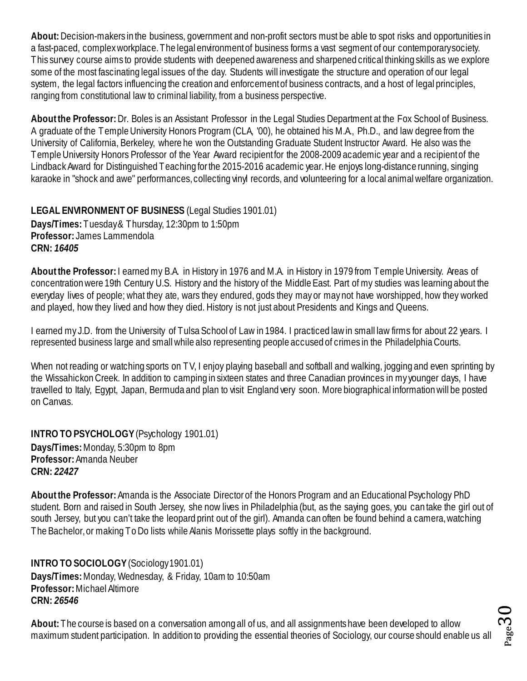**About:** Decision-makers in the business, government and non-profit sectors must be able to spot risks and opportunities in a fast-paced, complex workplace. The legal environment of business forms a vast segment of our contemporary society. This survey course aims to provide students with deepened awareness and sharpened critical thinking skills as we explore some of the most fascinating legal issues of the day. Students will investigate the structure and operation of our legal system, the legal factors influencing the creation and enforcement of business contracts, and a host of legal principles, ranging from constitutional law to criminal liability, from a business perspective.

**About the Professor:** Dr. Boles is an Assistant Professor in the Legal Studies Department at the Fox School of Business. A graduate of the Temple University Honors Program (CLA, '00), he obtained his M.A., Ph.D., and law degree from the University of California, Berkeley, where he won the Outstanding Graduate Student Instructor Award. He also was the Temple University Honors Professor of the Year Award recipient for the 2008-2009 academic year and a recipient of the Lindback Award for Distinguished Teaching for the 2015-2016 academic year. He enjoys long-distance running, singing karaoke in "shock and awe" performances, collecting vinyl records, and volunteering for a local animal welfare organization.

<span id="page-29-0"></span>**LEGAL ENVIRONMENT OF BUSINESS** (Legal Studies 1901.01) **Days/Times:** Tuesday & Thursday, 12:30pm to 1:50pm **Professor:** James Lammendola **CRN:** *16405*

**About the Professor:** I earned my B.A. in History in 1976 and M.A. in History in 1979 from Temple University. Areas of concentration were 19th Century U.S. History and the history of the Middle East. Part of my studies was learning about the everyday lives of people; what they ate, wars they endured, gods they may or may not have worshipped, how they worked and played, how they lived and how they died. History is not just about Presidents and Kings and Queens.

I earned my J.D. from the University of Tulsa School of Law in 1984. I practiced law in small law firms for about 22 years. I represented business large and small while also representing people accused of crimes in the Philadelphia Courts.

When not reading or watching sports on TV, I enjoy playing baseball and softball and walking, jogging and even sprinting by the Wissahickon Creek. In addition to camping in sixteen states and three Canadian provinces in my younger days, I have travelled to Italy, Egypt, Japan, Bermuda and plan to visit England very soon. More biographical information will be posted on Canvas.

<span id="page-29-1"></span>**INTRO TO PSYCHOLOGY** (Psychology 1901.01) **Days/Times:** Monday, 5:30pm to 8pm **Professor:** Amanda Neuber **CRN:** *22427*

**About the Professor:**Amanda is the Associate Director of the Honors Program and an Educational Psychology PhD student. Born and raised in South Jersey, she now lives in Philadelphia (but, as the saying goes, you can take the girl out of south Jersey, but you can't take the leopard print out of the girl). Amanda can often be found behind a camera, watching The Bachelor, or making To Do lists while Alanis Morissette plays softly in the background.

<span id="page-29-2"></span>**INTRO TO SOCIOLOGY** (Sociology 1901.01) **Days/Times:** Monday, Wednesday, & Friday, 10am to 10:50am **Professor:** Michael Altimore **CRN:** *26546*

**About:** The course is based on a conversation among all of us, and all assignments have been developed to allow maximum student participation. In addition to providing the essential theories of Sociology, our course should enable us all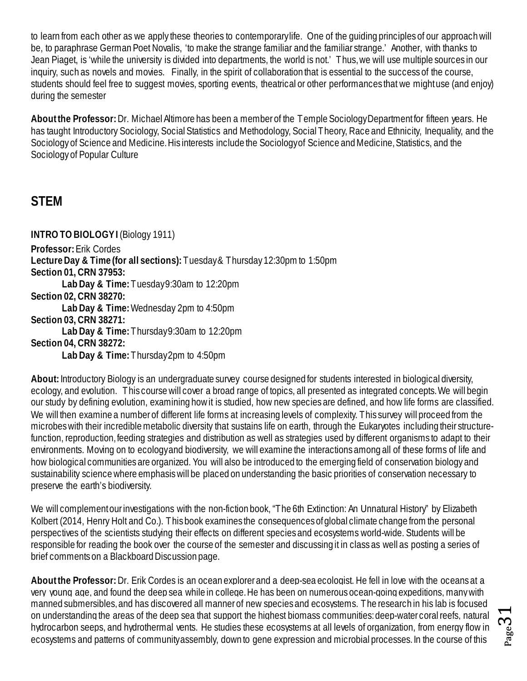to learn from each other as we apply these theories to contemporary life. One of the guiding principles of our approach will be, to paraphrase German Poet Novalis, 'to make the strange familiar and the familiar strange.' Another, with thanks to Jean Piaget, is 'while the university is divided into departments, the world is not.' Thus, we will use multiple sources in our inquiry, such as novels and movies. Finally, in the spirit of collaboration that is essential to the success of the course, students should feel free to suggest movies, sporting events, theatrical or other performances that we might use (and enjoy) during the semester

**About the Professor:** Dr. Michael Altimore has been a member of the Temple Sociology Department for fifteen years. He has taught Introductory Sociology, Social Statistics and Methodology, Social Theory, Race and Ethnicity, Inequality, and the Sociology of Science and Medicine. His interests include the Sociology of Science and Medicine, Statistics, and the Sociology of Popular Culture

## <span id="page-30-0"></span>**STEM**

<span id="page-30-1"></span>**INTRO TO BIOLOGY I** (Biology 1911)

**Professor:** Erik Cordes

**Lecture Day & Time (for all sections):** Tuesday & Thursday 12:30pm to 1:50pm

**Section 01, CRN 37953:**

**Lab Day & Time:** Tuesday 9:30am to 12:20pm

**Section 02, CRN 38270:**

**Lab Day & Time:** Wednesday 2pm to 4:50pm

**Section 03, CRN 38271:**

**Lab Day & Time:** Thursday 9:30am to 12:20pm

**Section 04, CRN 38272:**

**Lab Day & Time:** Thursday 2pm to 4:50pm

**About:**Introductory Biology is an undergraduate survey course designed for students interested in biological diversity, ecology, and evolution. This course will cover a broad range of topics, all presented as integrated concepts. We will begin our study by defining evolution, examining how it is studied, how new species are defined, and how life forms are classified. We will then examine a number of different life forms at increasing levels of complexity. This survey will proceed from the microbes with their incredible metabolic diversity that sustains life on earth, through the Eukaryotes including their structurefunction, reproduction, feeding strategies and distribution as well as strategies used by different organisms to adapt to their environments. Moving on to ecology and biodiversity, we will examine the interactions among all of these forms of life and how biological communities are organized. You will also be introduced to the emerging field of conservation biology and sustainability science where emphasis will be placed on understanding the basic priorities of conservation necessary to preserve the earth's biodiversity.

We will complement our investigations with the non-fiction book, "The 6th Extinction: An Unnatural History" by Elizabeth Kolbert (2014, Henry Holt and Co.). This book examines the consequences of global climate change from the personal perspectives of the scientists studying their effects on different species and ecosystems world-wide. Students will be responsible for reading the book over the course of the semester and discussing it in class as well as posting a series of brief comments on a Blackboard Discussion page.

**About the Professor:**Dr. Erik Cordes is an ocean explorer and a deep-sea ecologist. He fell in love with the oceans at a very young age, and found the deep sea while in college. He has been on numerous ocean-going expeditions, many with manned submersibles, and has discovered all manner of new species and ecosystems. The research in his lab is focused on understanding the areas of the deep sea that support the highest biomass communities: deep-water coral reefs, natural hydrocarbon seeps, and hydrothermal vents. He studies these ecosystems at all levels of organization, from energy flow in ecosystems and patterns of community assembly, down to gene expression and microbial processes. In the course of this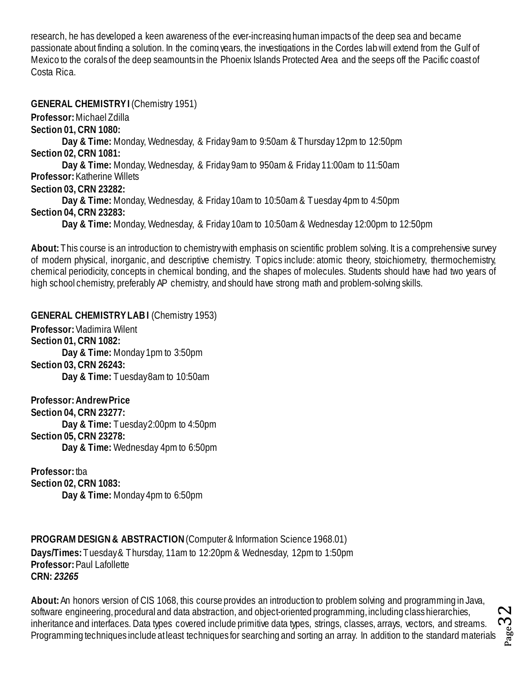research, he has developed a keen awareness of the ever-increasing human impacts of the deep sea and became passionate about finding a solution. In the coming years, the investigations in the Cordes lab will extend from the Gulf of Mexico to the corals of the deep seamounts in the Phoenix Islands Protected Area and the seeps off the Pacific coast of Costa Rica.

<span id="page-31-0"></span>**GENERAL CHEMISTRY I (Chemistry 1951)** 

**Professor:** Michael Zdilla

**Section 01, CRN 1080:**

**Day & Time:** Monday, Wednesday, & Friday 9am to 9:50am & Thursday 12pm to 12:50pm **Section 02, CRN 1081:**

**Day & Time:** Monday, Wednesday, & Friday 9am to 950am & Friday 11:00am to 11:50am **Professor:** Katherine Willets

**Section 03, CRN 23282:**

**Day & Time:** Monday, Wednesday, & Friday 10am to 10:50am & Tuesday 4pm to 4:50pm **Section 04, CRN 23283:**

**Day & Time:** Monday, Wednesday, & Friday 10am to 10:50am & Wednesday 12:00pm to 12:50pm

**About:** This course is an introduction to chemistry with emphasis on scientific problem solving. It is a comprehensive survey of modern physical, inorganic, and descriptive chemistry. Topics include: atomic theory, stoichiometry, thermochemistry, chemical periodicity, concepts in chemical bonding, and the shapes of molecules. Students should have had two years of high school chemistry, preferably AP chemistry, and should have strong math and problem-solving skills.

<span id="page-31-1"></span>**GENERAL CHEMISTRY LAB I** (Chemistry 1953) **Professor:** Vladimira Wilent **Section 01, CRN 1082: Day & Time:** Monday 1pm to 3:50pm **Section 03, CRN 26243: Day & Time:** Tuesday 8am to 10:50am

**Professor: Andrew Price Section 04, CRN 23277: Day & Time:** Tuesday2:00pm to 4:50pm **Section 05, CRN 23278: Day & Time:** Wednesday 4pm to 6:50pm

**Professor:** tba **Section 02, CRN 1083: Day & Time:** Monday 4pm to 6:50pm

<span id="page-31-2"></span>**PROGRAM DESIGN & ABSTRACTION**(Computer & Information Science 1968.01) **Days/Times:** Tuesday & Thursday, 11am to 12:20pm & Wednesday, 12pm to 1:50pm **Professor: Paul Lafollette CRN:** *23265*

 $_{\rm Page}$ 32 **About:** An honors version of CIS 1068, this course provides an introduction to problem solving and programming in Java, software engineering, procedural and data abstraction, and object-oriented programming, including class hierarchies, inheritance and interfaces. Data types covered include primitive data types, strings, classes, arrays, vectors, and streams. Programming techniques include at least techniques for searching and sorting an array. In addition to the standard materials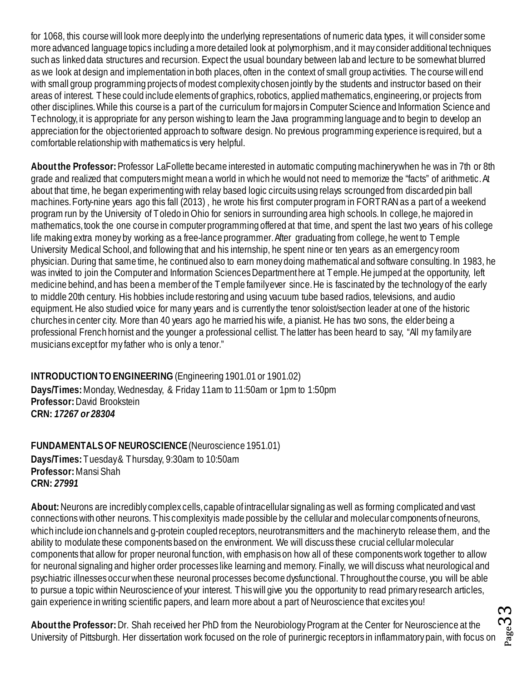for 1068, this course will look more deeply into the underlying representations of numeric data types, it will consider some more advanced language topics including a more detailed look at polymorphism, and it may consider additional techniques such as linked data structures and recursion. Expect the usual boundary between lab and lecture to be somewhat blurred as we look at design and implementation in both places, often in the context of small group activities. The course will end with small group programming projects of modest complexity chosen jointly by the students and instructor based on their areas of interest. These could include elements of graphics, robotics, applied mathematics, engineering, or projects from other disciplines. While this course is a part of the curriculum for majors in Computer Science and Information Science and Technology, it is appropriate for any person wishing to learn the Java programming language and to begin to develop an appreciation for the object oriented approach to software design. No previous programming experience is required, but a comfortable relationship with mathematics is very helpful.

**About the Professor:** Professor LaFollette became interested in automatic computing machinery when he was in 7th or 8th grade and realized that computers might mean a world in which he would not need to memorize the "facts" of arithmetic. At about that time, he began experimenting with relay based logic circuits using relays scrounged from discarded pin ball machines. Forty-nine years ago this fall (2013) , he wrote his first computer program in FORTRAN as a part of a weekend program run by the University of Toledo in Ohio for seniors in surrounding area high schools. In college, he majored in mathematics, took the one course in computer programming offered at that time, and spent the last two years of his college life making extra money by working as a free-lance programmer. After graduating from college, he went to Temple University Medical School, and following that and his internship, he spent nine or ten years as an emergency room physician. During that same time, he continued also to earn money doing mathematical and software consulting. In 1983, he was invited to join the Computer and Information Sciences Department here at Temple. He jumped at the opportunity, left medicine behind, and has been a member of the Temple family ever since. He is fascinated by the technology of the early to middle 20th century. His hobbies include restoring and using vacuum tube based radios, televisions, and audio equipment. He also studied voice for many years and is currently the tenor soloist/section leader at one of the historic churches in center city. More than 40 years ago he married his wife, a pianist. He has two sons, the elder being a professional French hornist and the younger a professional cellist. The latter has been heard to say, "All my family are musicians except for my father who is only a tenor."

<span id="page-32-0"></span>**INTRODUCTION TO ENGINEERING** (Engineering 1901.01 or 1901.02)

**Days/Times:** Monday, Wednesday, & Friday 11am to 11:50am or 1pm to 1:50pm **Professor:** David Brookstein **CRN:** *17267 or 28304*

<span id="page-32-1"></span>**FUNDAMENTALS OF NEUROSCIENCE** (Neuroscience 1951.01) **Days/Times:** Tuesday & Thursday, 9:30am to 10:50am

**Professor:** Mansi Shah **CRN:** *27991*

**About:** Neurons are incredibly complex cells, capable of intracellular signaling as well as forming complicated and vast connections with other neurons. This complexity is made possible by the cellular and molecular components of neurons, which include ion channels and q-protein coupled receptors, neurotransmitters and the machinery to release them, and the ability to modulate these components based on the environment. We will discuss these crucial cellular molecular components that allow for proper neuronal function, with emphasis on how all of these components work together to allow for neuronal signaling and higher order processes like learning and memory. Finally, we will discuss what neurological and psychiatric illnesses occur when these neuronal processes become dysfunctional. Throughout the course, you will be able to pursue a topic within Neuroscience of your interest. This will give you the opportunity to read primary research articles, gain experience in writing scientific papers, and learn more about a part of Neuroscience that excites you!

**About the Professor:** Dr. Shah received her PhD from the Neurobiology Program at the Center for Neuroscience at the University of Pittsburgh. Her dissertation work focused on the role of purinergic receptors in inflammatory pain, with focus on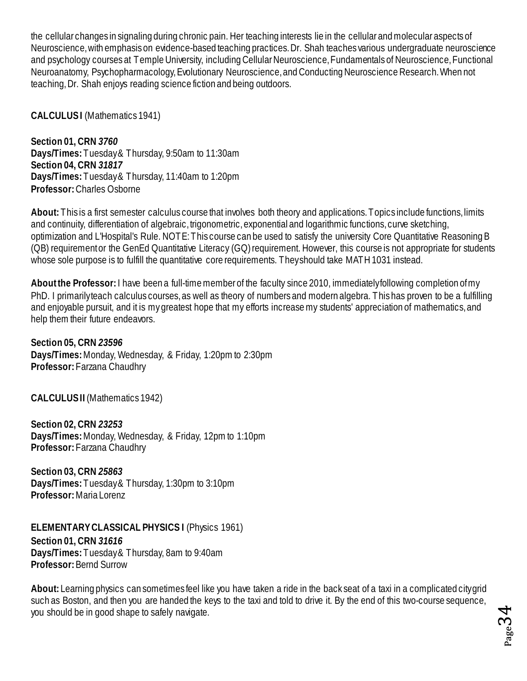the cellular changes in signaling during chronic pain. Her teaching interests lie in the cellular and molecular aspects of Neuroscience, with emphasis on evidence-based teaching practices. Dr. Shah teaches various undergraduate neuroscience and psychology courses at Temple University, including Cellular Neuroscience, Fundamentals of Neuroscience, Functional Neuroanatomy, Psychopharmacology, Evolutionary Neuroscience, and Conducting Neuroscience Research. When not teaching, Dr. Shah enjoys reading science fiction and being outdoors.

<span id="page-33-0"></span>**CALCULUS I** (Mathematics 1941)

**Section 01, CRN** *3760* **Days/Times:** Tuesday & Thursday, 9:50am to 11:30am **Section 04, CRN** *31817* **Days/Times:** Tuesday & Thursday, 11:40am to 1:20pm **Professor:** Charles Osborne

**About:** This is a first semester calculus course that involves both theory and applications. Topics include functions, limits and continuity, differentiation of algebraic, trigonometric, exponential and logarithmic functions, curve sketching, optimization and L'Hospital's Rule. NOTE: This course can be used to satisfy the university Core Quantitative Reasoning B (QB) requirement or the GenEd Quantitative Literacy (GQ) requirement. However, this course is not appropriate for students whose sole purpose is to fulfill the quantitative core requirements. They should take MATH 1031 instead.

**About the Professor:**I have been a full-time member of the faculty since 2010, immediately following completion of my PhD. I primarily teach calculus courses, as well as theory of numbers and modern algebra. This has proven to be a fulfilling and enjoyable pursuit, and it is my greatest hope that my efforts increase my students' appreciation of mathematics, and help them their future endeavors.

**Section 05, CRN** *23596* **Days/Times:** Monday, Wednesday, & Friday, 1:20pm to 2:30pm **Professor:** Farzana Chaudhry

<span id="page-33-1"></span>**CALCULUS II** (Mathematics 1942)

**Section 02, CRN** *23253* **Days/Times:** Monday, Wednesday, & Friday, 12pm to 1:10pm **Professor:** Farzana Chaudhry

**Section 03, CRN** *25863* **Days/Times:** Tuesday & Thursday, 1:30pm to 3:10pm **Professor:** Maria Lorenz

<span id="page-33-2"></span>**ELEMENTARY CLASSICAL PHYSICS I** (Physics 1961)

**Section 01, CRN** *31616* **Days/Times:** Tuesday & Thursday, 8am to 9:40am **Professor:** Bernd Surrow

**About:** Learning physics can sometimes feel like you have taken a ride in the back seat of a taxi in a complicated city grid such as Boston, and then you are handed the keys to the taxi and told to drive it. By the end of this two-course sequence, you should be in good shape to safely navigate.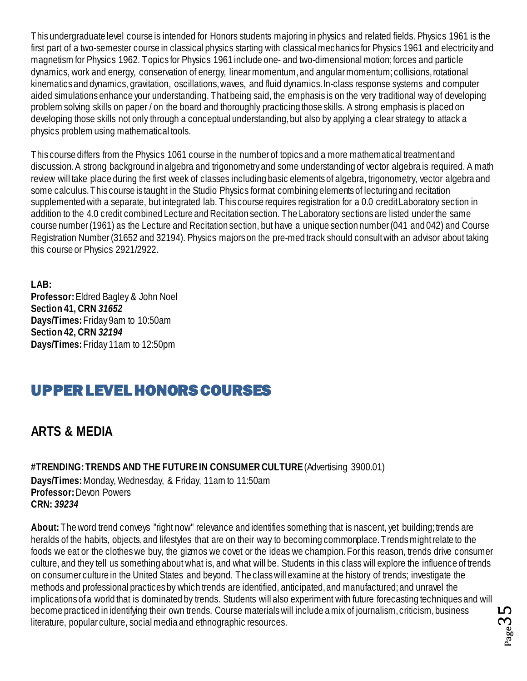This undergraduate level course is intended for Honors students majoring in physics and related fields. Physics 1961 is the first part of a two-semester course in classical physics starting with classical mechanics for Physics 1961 and electricity and magnetism for Physics 1962. Topics for Physics 1961 include one- and two-dimensional motion; forces and particle dynamics, work and energy, conservation of energy, linear momentum, and angular momentum; collisions, rotational kinematics and dynamics, gravitation, oscillations, waves, and fluid dynamics. In-class response systems and computer aided simulations enhance your understanding. That being said, the emphasis is on the very traditional way of developing problem solving skills on paper / on the board and thoroughly practicing those skills. A strong emphasis is placed on developing those skills not only through a conceptual understanding, but also by applying a clear strategy to attack a physics problem using mathematical tools.

This course differs from the Physics 1061 course in the number of topics and a more mathematical treatment and discussion. A strong background in algebra and trigonometry and some understanding of vector algebra is required. A math review will take place during the first week of classes including basic elements of algebra, trigonometry, vector algebra and some calculus. This course is taught in the Studio Physics format combining elements of lecturing and recitation supplemented with a separate, but integrated lab. This course requires registration for a 0.0 credit Laboratory section in addition to the 4.0 credit combined Lecture and Recitation section. The Laboratory sections are listed under the same course number (1961) as the Lecture and Recitation section, but have a unique section number (041 and 042) and Course Registration Number (31652 and 32194). Physics majors on the pre-med track should consult with an advisor about taking this course or Physics 2921/2922.

**LAB: Professor:** Eldred Bagley & John Noel **Section 41, CRN** *31652* **Days/Times:** Friday 9am to 10:50am **Section 42, CRN** *32194* **Days/Times:** Friday 11am to 12:50pm

# <span id="page-34-0"></span>UPPER LEVEL HONORS COURSES

## <span id="page-34-1"></span>**ARTS & MEDIA**

<span id="page-34-2"></span>**#TRENDING: TRENDS AND THE FUTURE IN CONSUMER CULTURE** (Advertising 3900.01) **Days/Times:** Monday, Wednesday, & Friday, 11am to 11:50am **Professor:** Devon Powers **CRN:** *39234*

**About:** The word trend conveys "right now" relevance and identifies something that is nascent, yet building; trends are heralds of the habits, objects, and lifestyles that are on their way to becoming commonplace. Trends might relate to the foods we eat or the clothes we buy, the gizmos we covet or the ideas we champion. For this reason, trends drive consumer culture, and they tell us something about what is, and what will be. Students in this class will explore the influence of trends on consumer culture in the United States and beyond. The class will examine at the history of trends; investigate the methods and professional practices by which trends are identified, anticipated, and manufactured; and unravel the implications of a world that is dominated by trends. Students will also experiment with future forecasting techniques and will become practiced in identifying their own trends. Course materials will include a mix of journalism, criticism, business literature, popular culture, social media and ethnographic resources.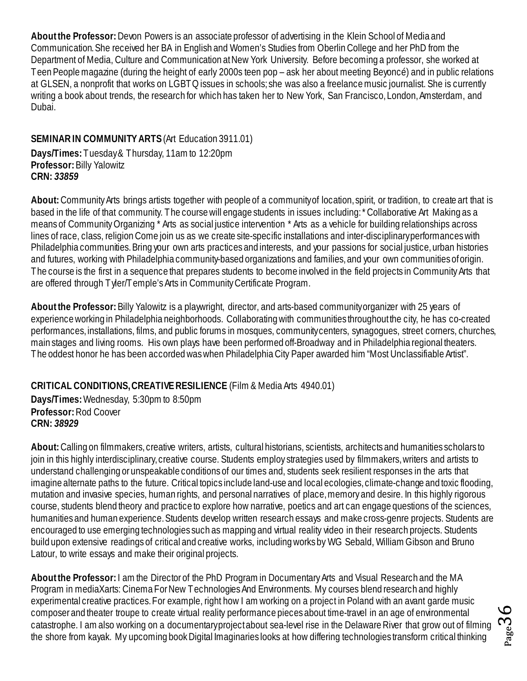**About the Professor:** Devon Powers is an associate professor of advertising in the Klein School of Media and Communication. She received her BA in English and Women's Studies from Oberlin College and her PhD from the Department of Media, Culture and Communication at New York University. Before becoming a professor, she worked at Teen People magazine (during the height of early 2000s teen pop – ask her about meeting Beyoncé) and in public relations at GLSEN, a nonprofit that works on LGBTQ issues in schools; she was also a freelance music journalist. She is currently writing a book about trends, the research for which has taken her to New York, San Francisco, London, Amsterdam, and Dubai.

#### <span id="page-35-0"></span>**SEMINAR IN COMMUNITYARTS**(Art Education 3911.01)

**Days/Times:** Tuesday & Thursday, 11am to 12:20pm **Professor:** Billy Yalowitz **CRN:** *33859*

**About:** Community Arts brings artists together with people of a community of location, spirit, or tradition, to create art that is based in the life of that community. The course will engage students in issues including: \* Collaborative Art Making as a means of Community Organizing \* Arts as social justice intervention \* Arts as a vehicle for building relationships across lines of race, class, religion Come join us as we create site-specific installations and inter-disciplinary performances with Philadelphia communities. Bring your own arts practices and interests, and your passions for social justice, urban histories and futures, working with Philadelphia community-based organizations and families, and your own communities of origin. The course is the first in a sequence that prepares students to become involved in the field projects in Community Arts that are offered through Tyler/Temple's Arts in Community Certificate Program.

**About the Professor:** Billy Yalowitz is a playwright, director, and arts-based community organizer with 25 years of experience working in Philadelphia neighborhoods. Collaborating with communities throughout the city, he has co-created performances, installations, films, and public forums in mosques, community centers, synagogues, street corners, churches, main stages and living rooms. His own plays have been performed off-Broadway and in Philadelphia regional theaters. The oddest honor he has been accorded was when Philadelphia City Paper awarded him "Most Unclassifiable Artist".

#### <span id="page-35-1"></span>**CRITICAL CONDITIONS,CREATIVE RESILIENCE** (Film & Media Arts 4940.01)

**Days/Times:** Wednesday, 5:30pm to 8:50pm **Professor:** Rod Coover **CRN:** *38929*

**About:** Calling on filmmakers, creative writers, artists, cultural historians, scientists, architects and humanities scholars to join in this highly interdisciplinary, creative course. Students employ strategies used by filmmakers, writers and artists to understand challenging or unspeakable conditions of our times and, students seek resilient responses in the arts that imagine alternate paths to the future. Critical topics include land-use and local ecologies, climate-change and toxic flooding, mutation and invasive species, human rights, and personal narratives of place, memory and desire. In this highly rigorous course, students blend theory and practice to explore how narrative, poetics and art can engage questions of the sciences, humanities and human experience. Students develop written research essays and make cross-genre projects. Students are encouraged to use emerging technologies such as mapping and virtual reality video in their research projects. Students build upon extensive readings of critical and creative works, including works by WG Sebald, William Gibson and Bruno Latour, to write essays and make their original projects.

**About the Professor:**I am the Director of the PhD Program in Documentary Arts and Visual Research and the MA Program in mediaXarts: Cinema For New Technologies And Environments. My courses blend research and highly experimental creative practices. For example, right how I am working on a project in Poland with an avant garde music composer and theater troupe to create virtual reality performance pieces about time-travel in an age of environmental catastrophe. I am also working on a documentary project about sea-level rise in the Delaware River that grow out of filming the shore from kayak. My upcoming book Digital Imaginaries looks at how differing technologies transform critical thinking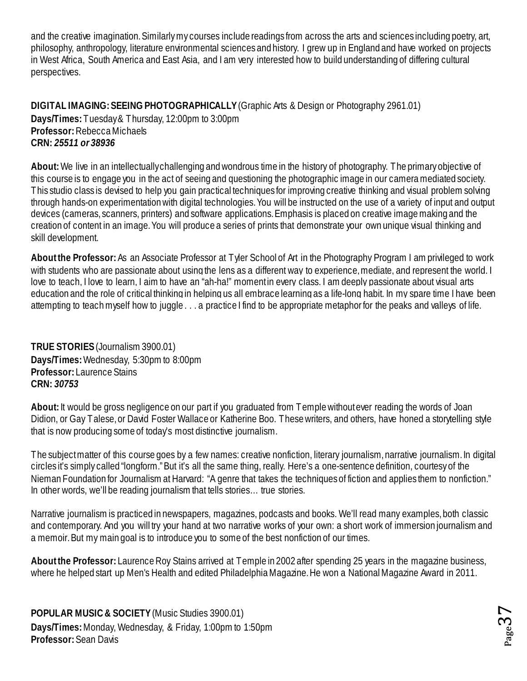and the creative imagination. Similarly my courses include readings from across the arts and sciences including poetry, art, philosophy, anthropology, literature environmental sciences and history. I grew up in England and have worked on projects in West Africa, South America and East Asia, and I am very interested how to build understanding of differing cultural perspectives.

<span id="page-36-0"></span>**DIGITAL IMAGING: SEEING PHOTOGRAPHICALLY**(Graphic Arts & Design or Photography 2961.01) **Days/Times:** Tuesday& Thursday, 12:00pm to 3:00pm **Professor:** Rebecca Michaels **CRN:** *25511 or 38936*

**About:**We live in an intellectually challenging and wondrous time in the history of photography. The primary objective of this course is to engage you in the act of seeing and questioning the photographic image in our camera mediated society. This studio class is devised to help you gain practical techniques for improving creative thinking and visual problem solving through hands-on experimentation with digital technologies. You will be instructed on the use of a variety of input and output devices (cameras, scanners, printers) and software applications. Emphasis is placed on creative image making and the creation of content in an image. You will produce a series of prints that demonstrate your own unique visual thinking and skill development.

**About the Professor:**As an Associate Professor at Tyler School of Art in the Photography Program I am privileged to work with students who are passionate about using the lens as a different way to experience, mediate, and represent the world. I love to teach, I love to learn, I aim to have an "ah-ha!" moment in every class. I am deeply passionate about visual arts education and the role of critical thinking in helping us all embrace learning as a life-long habit. In my spare time I have been attempting to teach myself how to juggle . . . a practice I find to be appropriate metaphor for the peaks and valleys of life.

<span id="page-36-1"></span>**TRUE STORIES**(Journalism 3900.01) **Days/Times:** Wednesday, 5:30pm to 8:00pm **Professor:** Laurence Stains **CRN:** *30753*

**About:** It would be gross negligence on our part if you graduated from Temple without ever reading the words of Joan Didion, or Gay Talese, or David Foster Wallace or Katherine Boo. These writers, and others, have honed a storytelling style that is now producing some of today's most distinctive journalism.

The subject matter of this course goes by a few names: creative nonfiction, literary journalism, narrative journalism. In digital circles it's simply called "longform." But it's all the same thing, really. Here's a one-sentence definition, courtesy of the Nieman Foundation for Journalism at Harvard: "A genre that takes the techniques of fiction and applies them to nonfiction." In other words, we'll be reading journalism that tells stories… true stories.

Narrative journalism is practiced in newspapers, magazines, podcasts and books. We'll read many examples, both classic and contemporary. And you will try your hand at two narrative works of your own: a short work of immersion journalism and a memoir. But my main goal is to introduce you to some of the best nonfiction of our times.

**About the Professor:** Laurence Roy Stains arrived at Temple in 2002 after spending 25 years in the magazine business, where he helped start up Men's Health and edited Philadelphia Magazine. He won a National Magazine Award in 2011.

<span id="page-36-2"></span>**POPULAR MUSIC & SOCIETY** (Music Studies 3900.01) **Days/Times:** Monday, Wednesday, & Friday, 1:00pm to 1:50pm **Professor:** Sean Davis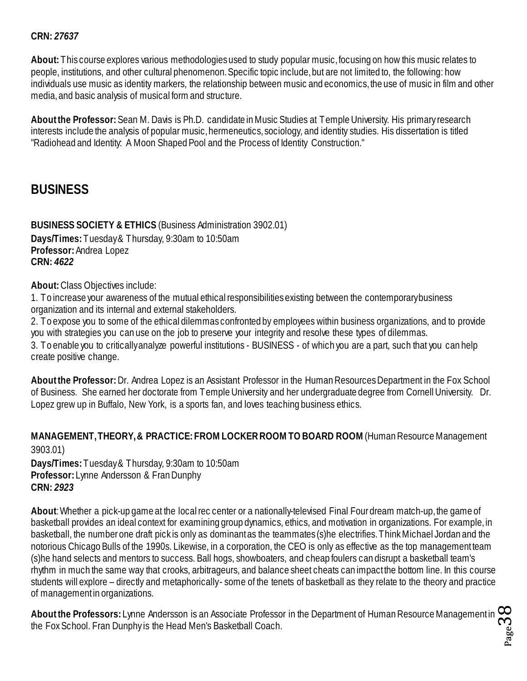#### **CRN:** *27637*

**About:** This course explores various methodologies used to study popular music, focusing on how this music relates to people, institutions, and other cultural phenomenon. Specific topic include, but are not limited to, the following: how individuals use music as identity markers, the relationship between music and economics, the use of music in film and other media, and basic analysis of musical form and structure.

**About the Professor:** Sean M. Davis is Ph.D. candidate in Music Studies at Temple University. His primary research interests include the analysis of popular music, hermeneutics, sociology, and identity studies. His dissertation is titled "Radiohead and Identity: A Moon Shaped Pool and the Process of Identity Construction."

## <span id="page-37-0"></span>**BUSINESS**

<span id="page-37-1"></span>**BUSINESS SOCIETY & ETHICS** (Business Administration 3902.01) **Days/Times:** Tuesday & Thursday, 9:30am to 10:50am **Professor:** Andrea Lopez **CRN:** *4622*

**About:** Class Objectives include:

1. To increase your awareness of the mutual ethical responsibilities existing between the contemporary business organization and its internal and external stakeholders.

2. To expose you to some of the ethical dilemmas confronted by employees within business organizations, and to provide you with strategies you can use on the job to preserve your integrity and resolve these types of dilemmas.

3. To enable you to critically analyze powerful institutions - BUSINESS - of which you are a part, such that you can help create positive change.

**About the Professor:** Dr. Andrea Lopez is an Assistant Professor in the Human Resources Department in the Fox School of Business. She earned her doctorate from Temple University and her undergraduate degree from Cornell University. Dr. Lopez grew up in Buffalo, New York, is a sports fan, and loves teaching business ethics.

#### <span id="page-37-2"></span>**MANAGEMENT, THEORY, & PRACTICE: FROM LOCKER ROOM TO BOARD ROOM** (Human Resource Management 3903.01)

**Days/Times:** Tuesday & Thursday, 9:30am to 10:50am **Professor:** Lynne Andersson & Fran Dunphy **CRN:** *2923*

**About**: Whether a pick-up game at the local rec center or a nationally-televised Final Four dream match-up, the game of basketball provides an ideal context for examining group dynamics, ethics, and motivation in organizations. For example, in basketball, the number one draft pick is only as dominant as the teammates (s)he electrifies. Think Michael Jordan and the notorious Chicago Bulls of the 1990s. Likewise, in a corporation, the CEO is only as effective as the top management team (s)he hand selects and mentors to success. Ball hogs, showboaters, and cheap foulers can disrupt a basketball team's rhythm in much the same way that crooks, arbitrageurs, and balance sheet cheats can impact the bottom line. In this course students will explore – directly and metaphorically - some of the tenets of basketball as they relate to the theory and practice of management in organizations.

Page38 **About the Professors:** Lynne Andersson is an Associate Professor in the Department of Human Resource Management in the Fox School. Fran Dunphy is the Head Men's Basketball Coach.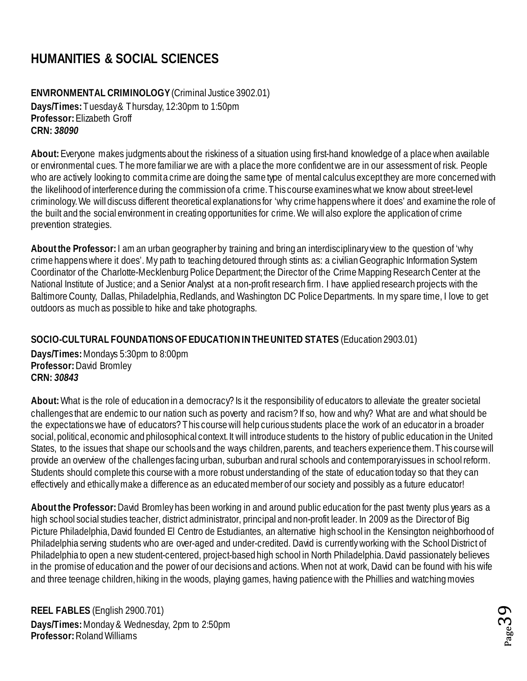## <span id="page-38-0"></span>**HUMANITIES & SOCIAL SCIENCES**

#### <span id="page-38-1"></span>**ENVIRONMENTAL CRIMINOLOGY**(Criminal Justice 3902.01)

**Days/Times:** Tuesday & Thursday, 12:30pm to 1:50pm **Professor:** Elizabeth Groff **CRN:** *38090*

**About:** Everyone makes judgments about the riskiness of a situation using first-hand knowledge of a place when available or environmental cues. The more familiar we are with a place the more confident we are in our assessment of risk. People who are actively looking to commit a crime are doing the same type of mental calculus except they are more concerned with the likelihood of interference during the commission of a crime. This course examines what we know about street-level criminology. We will discuss different theoretical explanations for 'why crime happens where it does' and examine the role of the built and the social environment in creating opportunities for crime. We will also explore the application of crime prevention strategies.

**About the Professor:** I am an urban geographer by training and bring an interdisciplinary view to the question of 'why crime happens where it does'. My path to teaching detoured through stints as: a civilian Geographic Information System Coordinator of the Charlotte-Mecklenburg Police Department; the Director of the Crime Mapping Research Center at the National Institute of Justice; and a Senior Analyst at a non-profit research firm. I have applied research projects with the Baltimore County, Dallas, Philadelphia, Redlands, and Washington DC Police Departments. In my spare time, I love to get outdoors as much as possible to hike and take photographs.

#### <span id="page-38-2"></span>**SOCIO-CULTURAL FOUNDATIONS OF EDUCATIONIN THE UNITED STATES** (Education 2903.01)

**Days/Times:** Mondays 5:30pm to 8:00pm **Professor:** David Bromley **CRN:** *30843*

**About:** What is the role of education in a democracy? Is it the responsibility of educators to alleviate the greater societal challenges that are endemic to our nation such as poverty and racism? If so, how and why? What are and what should be the expectations we have of educators? This course will help curious students place the work of an educator in a broader social, political, economic and philosophical context. It will introduce students to the history of public education in the United States, to the issues that shape our schools and the ways children, parents, and teachers experience them. This course will provide an overview of the challenges facing urban, suburban and rural schools and contemporary issues in school reform. Students should complete this course with a more robust understanding of the state of education today so that they can effectively and ethically make a difference as an educated member of our society and possibly as a future educator!

**About the Professor:** David Bromley has been working in and around public education for the past twenty plus years as a high school social studies teacher, district administrator, principal and non-profit leader. In 2009 as the Director of Big Picture Philadelphia, David founded El Centro de Estudiantes, an alternative high school in the Kensington neighborhood of Philadelphia serving students who are over-aged and under-credited. David is currently working with the School District of Philadelphia to open a new student-centered, project-based high school in North Philadelphia. David passionately believes in the promise of education and the power of our decisions and actions. When not at work, David can be found with his wife and three teenage children, hiking in the woods, playing games, having patience with the Phillies and watching movies

<span id="page-38-3"></span>**REEL FABLES** (English 2900.701) **Days/Times:** Monday & Wednesday, 2pm to 2:50pm **Professor:** Roland Williams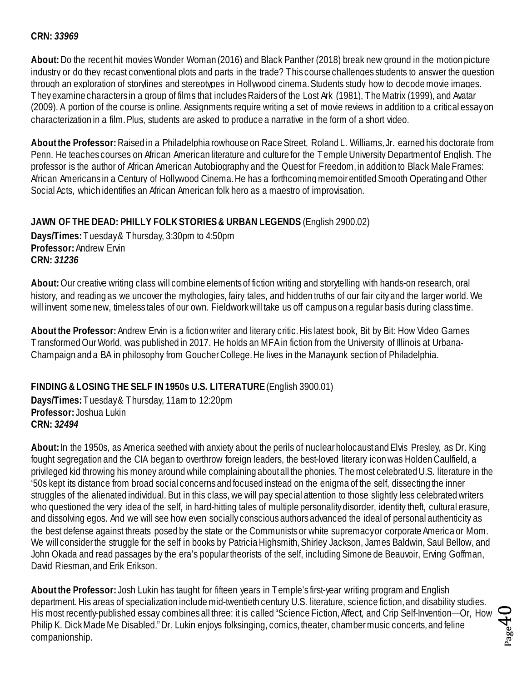#### **CRN:** *33969*

**About:** Do the recent hit movies Wonder Woman (2016) and Black Panther (2018) break new ground in the motion picture industry or do they recast conventional plots and parts in the trade? This course challenges students to answer the question through an exploration of storylines and stereotypes in Hollywood cinema. Students study how to decode movie images. They examine characters in a group of films that includes Raiders of the Lost Ark (1981), The Matrix (1999), and Avatar (2009). A portion of the course is online. Assignments require writing a set of movie reviews in addition to a critical essayon characterization in a film. Plus, students are asked to produce a narrative in the form of a short video.

**About the Professor:**Raised in a Philadelphia rowhouse on Race Street, Roland L. Williams, Jr. earned his doctorate from Penn. He teaches courses on African American literature and culture for the Temple University Department of English. The professor is the author of African American Autobiography and the Quest for Freedom, in addition to Black Male Frames: African Americans in a Century of Hollywood Cinema. He has a forthcoming memoir entitled Smooth Operating and Other Social Acts, which identifies an African American folk hero as a maestro of improvisation.

#### <span id="page-39-0"></span>**JAWN OF THE DEAD: PHILLY FOLK STORIES & URBAN LEGENDS** (English 2900.02)

**Days/Times:** Tuesday & Thursday, 3:30pm to 4:50pm **Professor:** Andrew Ervin **CRN:** *31236*

**About:** Our creative writing class will combine elements of fiction writing and storytelling with hands-on research, oral history, and reading as we uncover the mythologies, fairy tales, and hidden truths of our fair city and the larger world. We will invent some new, timeless tales of our own. Fieldwork will take us off campus on a regular basis during class time.

**About the Professor:** Andrew Ervin is a fiction writer and literary critic. His latest book, Bit by Bit: How Video Games Transformed Our World, was published in 2017. He holds an MFA in fiction from the University of Illinois at Urbana-Champaign and a BA in philosophy from Goucher College. He lives in the Manayunk section of Philadelphia.

#### <span id="page-39-1"></span>**FINDING & LOSING THE SELF IN 1950s U.S. LITERATURE** (English 3900.01)

**Days/Times:** Tuesday & Thursday, 11am to 12:20pm **Professor:** Joshua Lukin **CRN:** *32494*

**About:** In the 1950s, as America seethed with anxiety about the perils of nuclear holocaust and Elvis Presley, as Dr. King fought segregation and the CIA began to overthrow foreign leaders, the best-loved literary icon was Holden Caulfield, a privileged kid throwing his money around while complaining about all the phonies. The most celebrated U.S. literature in the '50s kept its distance from broad social concerns and focused instead on the enigma of the self, dissecting the inner struggles of the alienated individual. But in this class, we will pay special attention to those slightly less celebrated writers who questioned the very idea of the self, in hard-hitting tales of multiple personality disorder, identity theft, cultural erasure, and dissolving egos. And we will see how even socially conscious authors advanced the ideal of personal authenticity as the best defense against threats posed by the state or the Communists or white supremacy or corporate America or Mom. We will consider the struggle for the self in books by Patricia Highsmith, Shirley Jackson, James Baldwin, Saul Bellow, and John Okada and read passages by the era's popular theorists of the self, including Simone de Beauvoir, Erving Goffman, David Riesman, and Erik Erikson.

**About the Professor:** Josh Lukin has taught for fifteen years in Temple's first-year writing program and English department. His areas of specialization include mid-twentieth century U.S. literature, science fiction, and disability studies. His most recently-published essay combines all three: it is called "Science Fiction, Affect, and Crip Self-Invention—Or, How Philip K. Dick Made Me Disabled." Dr. Lukin enjoys folksinging, comics, theater, chamber music concerts, and feline companionship.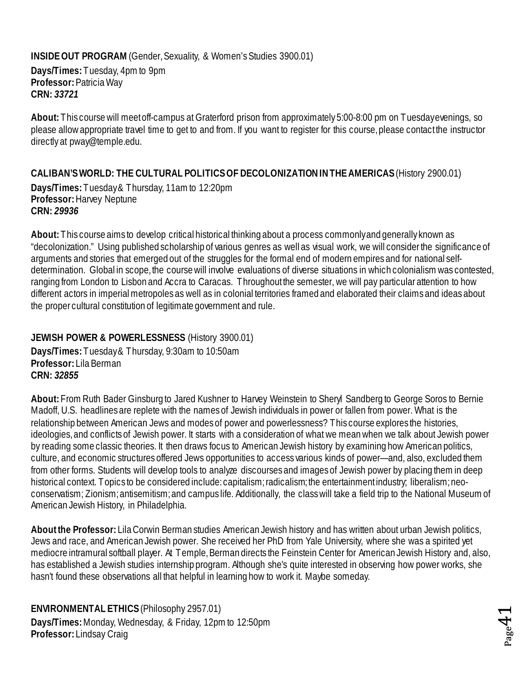#### <span id="page-40-0"></span>**INSIDE OUT PROGRAM** (Gender, Sexuality, & Women's Studies 3900.01)

**Days/Times:** Tuesday, 4pm to 9pm **Professor:** Patricia Way **CRN:** *33721*

**About:** This course will meet off-campus at Graterford prison from approximately 5:00-8:00 pm on Tuesday evenings, so please allow appropriate travel time to get to and from. If you want to register for this course, please contact the instructor directly at pway@temple.edu.

#### <span id="page-40-1"></span>**CALIBAN'S WORLD: THE CULTURAL POLITICS OF DECOLONIZATION IN THE AMERICAS**(History 2900.01)

**Days/Times:** Tuesday & Thursday, 11am to 12:20pm **Professor:** Harvey Neptune **CRN:** *29936*

**About:** This course aims to develop critical historical thinking about a process commonly and generally known as "decolonization." Using published scholarship of various genres as well as visual work, we will consider the significance of arguments and stories that emerged out of the struggles for the formal end of modern empires and for national selfdetermination. Global in scope, the course will involve evaluations of diverse situations in which colonialism was contested, ranging from London to Lisbon and Accra to Caracas. Throughout the semester, we will pay particular attention to how different actors in imperial metropoles as well as in colonial territories framed and elaborated their claims and ideas about the proper cultural constitution of legitimate government and rule.

#### <span id="page-40-2"></span>**JEWISH POWER & POWERLESSNESS** (History 3900.01)

**Days/Times:** Tuesday & Thursday, 9:30am to 10:50am **Professor:** Lila Berman **CRN:** *32855*

**About:** From Ruth Bader Ginsburg to Jared Kushner to Harvey Weinstein to Sheryl Sandberg to George Soros to Bernie Madoff, U.S. headlines are replete with the names of Jewish individuals in power or fallen from power. What is the relationship between American Jews and modes of power and powerlessness? This course explores the histories, ideologies, and conflicts of Jewish power. It starts with a consideration of what we mean when we talk about Jewish power by reading some classic theories. It then draws focus to American Jewish history by examining how American politics, culture, and economic structures offered Jews opportunities to access various kinds of power—and, also, excluded them from other forms. Students will develop tools to analyze discourses and images of Jewish power by placing them in deep historical context. Topics to be considered include: capitalism; radicalism; the entertainment industry; liberalism; neoconservatism; Zionism; antisemitism; and campus life. Additionally, the class will take a field trip to the National Museum of American Jewish History, in Philadelphia.

**About the Professor:** Lila Corwin Berman studies American Jewish history and has written about urban Jewish politics, Jews and race, and American Jewish power. She received her PhD from Yale University, where she was a spirited yet mediocre intramural softball player. At Temple, Berman directs the Feinstein Center for American Jewish History and, also, has established a Jewish studies internship program. Although she's quite interested in observing how power works, she hasn't found these observations all that helpful in learning how to work it. Maybe someday.

<span id="page-40-3"></span>**ENVIRONMENTAL ETHICS** (Philosophy 2957.01) **Days/Times:** Monday, Wednesday, & Friday, 12pm to 12:50pm **Professor:** Lindsay Craig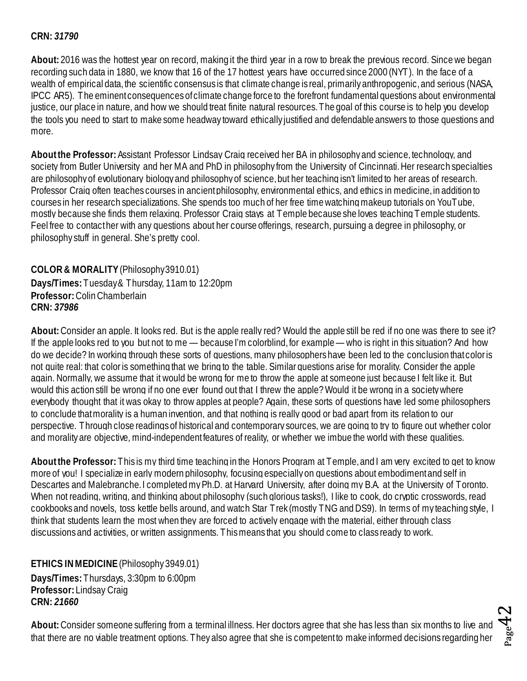#### **CRN:** *31790*

**About:** 2016 was the hottest year on record, making it the third year in a row to break the previous record. Since we began recording such data in 1880, we know that 16 of the 17 hottest years have occurred since 2000 (NYT). In the face of a wealth of empirical data, the scientific consensus is that climate change is real, primarily anthropogenic, and serious (NASA, IPCC AR5). The eminent consequences of climate change force to the forefront fundamental questions about environmental justice, our place in nature, and how we should treat finite natural resources. The goal of this course is to help you develop the tools you need to start to make some headway toward ethically justified and defendable answers to those questions and more.

**About the Professor:**Assistant Professor Lindsay Craig received her BA in philosophy and science, technology, and society from Butler University and her MA and PhD in philosophy from the University of Cincinnati. Her research specialties are philosophy of evolutionary biology and philosophy of science, but her teaching isn't limited to her areas of research. Professor Craig often teaches courses in ancient philosophy, environmental ethics, and ethics in medicine, in addition to courses in her research specializations. She spends too much of her free time watching makeup tutorials on YouTube, mostly because she finds them relaxing. Professor Craig stays at Temple because she loves teaching Temple students. Feel free to contact her with any questions about her course offerings, research, pursuing a degree in philosophy, or philosophy stuff in general. She's pretty cool.

<span id="page-41-0"></span>**COLOR & MORALITY**(Philosophy 3910.01) **Days/Times:** Tuesday & Thursday, 11am to 12:20pm **Professor:** Colin Chamberlain **CRN:** *37986*

**About:** Consider an apple. It looks red. But is the apple really red? Would the apple still be red if no one was there to see it? If the apple looks red to you but not to me — because I'm colorblind, for example — who is right in this situation? And how do we decide? In working through these sorts of questions, many philosophers have been led to the conclusion that color is not quite real: that color is something that we bring to the table. Similar questions arise for morality. Consider the apple again. Normally, we assume that it would be wrong for me to throw the apple at someone just because I felt like it. But would this action still be wrong if no one ever found out that I threw the apple? Would it be wrong in a society where everybody thought that it was okay to throw apples at people? Again, these sorts of questions have led some philosophers to conclude that morality is a human invention, and that nothing is really good or bad apart from its relation to our perspective. Through close readings of historical and contemporary sources, we are going to try to figure out whether color and morality are objective, mind-independent features of reality, or whether we imbue the world with these qualities.

**About the Professor:** This is my third time teaching in the Honors Program at Temple, and I am very excited to get to know more of you! I specialize in early modern philosophy, focusing especially on questions about embodiment and self in Descartes and Malebranche. I completed my Ph.D. at Harvard University, after doing my B.A. at the University of Toronto. When not reading, writing, and thinking about philosophy (such glorious tasks!), I like to cook, do cryptic crosswords, read cookbooks and novels, toss kettle bells around, and watch Star Trek (mostly TNG and DS9). In terms of my teaching style, I think that students learn the most when they are forced to actively engage with the material, either through class discussions and activities, or written assignments. This means that you should come to class ready to work.

<span id="page-41-1"></span>**ETHICS IN MEDICINE**(Philosophy 3949.01) **Days/Times:** Thursdays, 3:30pm to 6:00pm **Professor:** Lindsay Craig **CRN:** *21660*

**About:**Consider someone suffering from a terminal illness. Her doctors agree that she has less than six months to live and that there are no viable treatment options. They also agree that she is competent to make informed decisions regarding her

 $_{\rm Page}$ 42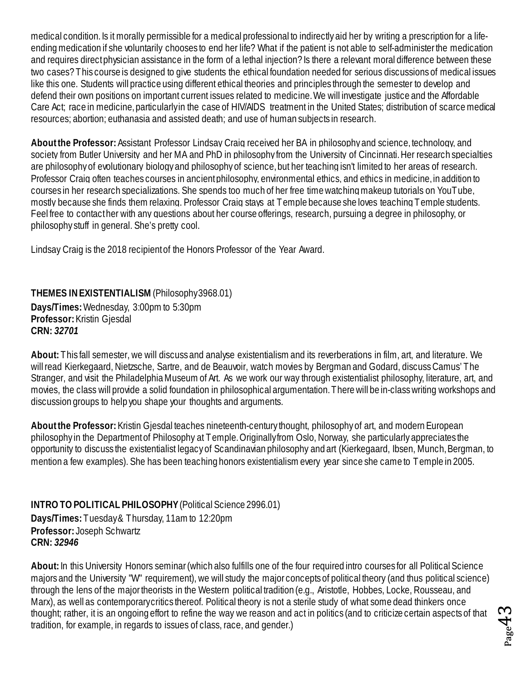medical condition. Is it morally permissible for a medical professional to indirectly aid her by writing a prescription for a lifeending medication if she voluntarily chooses to end her life? What if the patient is not able to self-administer the medication and requires direct physician assistance in the form of a lethal injection? Is there a relevant moral difference between these two cases? This course is designed to give students the ethical foundation needed for serious discussions of medical issues like this one. Students will practice using different ethical theories and principles through the semester to develop and defend their own positions on important current issues related to medicine. We will investigate justice and the Affordable Care Act; race in medicine, particularly in the case of HIV/AIDS treatment in the United States; distribution of scarce medical resources; abortion; euthanasia and assisted death; and use of human subjects in research.

**About the Professor:**Assistant Professor Lindsay Craig received her BA in philosophy and science, technology, and society from Butler University and her MA and PhD in philosophy from the University of Cincinnati. Her research specialties are philosophy of evolutionary biology and philosophy of science, but her teaching isn't limited to her areas of research. Professor Craig often teaches courses in ancient philosophy, environmental ethics, and ethics in medicine, in addition to courses in her research specializations. She spends too much of her free time watching makeup tutorials on YouTube, mostly because she finds them relaxing. Professor Craig stays at Temple because she loves teaching Temple students. Feel free to contact her with any questions about her course offerings, research, pursuing a degree in philosophy, or philosophy stuff in general. She's pretty cool.

Lindsay Craig is the 2018 recipient of the Honors Professor of the Year Award.

<span id="page-42-0"></span>**THEMES IN EXISTENTIALISM** (Philosophy 3968.01)

**Days/Times:** Wednesday, 3:00pm to 5:30pm **Professor:** Kristin Gjesdal **CRN:** *32701*

**About:** This fall semester, we will discuss and analyse existentialism and its reverberations in film, art, and literature. We will read Kierkegaard, Nietzsche, Sartre, and de Beauvoir, watch movies by Bergman and Godard, discuss Camus' The Stranger, and visit the Philadelphia Museum of Art. As we work our way through existentialist philosophy, literature, art, and movies, the class will provide a solid foundation in philosophical argumentation. There will be in-class writing workshops and discussion groups to help you shape your thoughts and arguments.

**About the Professor:** Kristin Gjesdal teaches nineteenth-century thought, philosophy of art, and modern European philosophy in the Department of Philosophy at Temple. Originally from Oslo, Norway, she particularly appreciates the opportunity to discuss the existentialist legacy of Scandinavian philosophy and art (Kierkegaard, Ibsen, Munch, Bergman, to mention a few examples). She has been teaching honors existentialism every year since she came to Temple in 2005.

<span id="page-42-1"></span>**INTRO TO POLITICAL PHILOSOPHY** (Political Science 2996.01) **Days/Times:** Tuesday & Thursday, 11am to 12:20pm **Professor:** Joseph Schwartz **CRN:** *32946*

**About:**In this University Honors seminar (which also fulfills one of the four required intro courses for all Political Science majors and the University "W" requirement), we will study the major concepts of political theory (and thus political science) through the lens of the major theorists in the Western political tradition (e.g., Aristotle, Hobbes, Locke, Rousseau, and Marx), as well as contemporary critics thereof. Political theory is not a sterile study of what some dead thinkers once thought; rather, it is an ongoing effort to refine the way we reason and act in politics (and to criticize certain aspects of that tradition, for example, in regards to issues of class, race, and gender.)

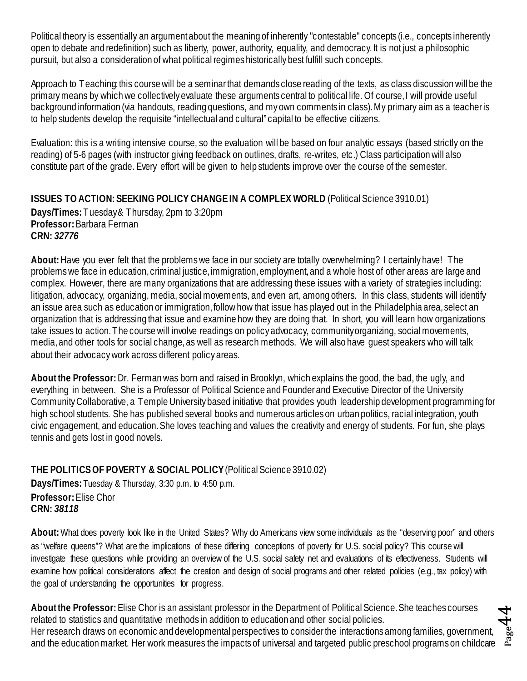Political theory is essentially an argument about the meaning of inherently "contestable" concepts (i.e., concepts inherently open to debate and redefinition) such as liberty, power, authority, equality, and democracy. It is not just a philosophic pursuit, but also a consideration of what political regimes historically best fulfill such concepts.

Approach to Teaching: this course will be a seminar that demands close reading of the texts, as class discussion will be the primary means by which we collectively evaluate these arguments central to political life. Of course, I will provide useful background information (via handouts, reading questions, and my own comments in class). My primary aim as a teacher is to help students develop the requisite "intellectual and cultural" capital to be effective citizens.

Evaluation: this is a writing intensive course, so the evaluation will be based on four analytic essays (based strictly on the reading) of 5-6 pages (with instructor giving feedback on outlines, drafts, re-writes, etc.) Class participation will also constitute part of the grade. Every effort will be given to help students improve over the course of the semester.

#### <span id="page-43-0"></span>**ISSUES TO ACTION: SEEKING POLICY CHANGE IN A COMPLEX WORLD** (Political Science 3910.01) **Days/Times:** Tuesday & Thursday, 2pm to 3:20pm **Professor:** Barbara Ferman **CRN:** *32776*

**About:** Have you ever felt that the problems we face in our society are totally overwhelming? I certainly have! The problems we face in education, criminal justice, immigration, employment, and a whole host of other areas are large and complex. However, there are many organizations that are addressing these issues with a variety of strategies including: litigation, advocacy, organizing, media, social movements, and even art, among others. In this class, students will identify an issue area such as education or immigration, follow how that issue has played out in the Philadelphia area, select an organization that is addressing that issue and examine how they are doing that. In short, you will learn how organizations take issues to action. The course will involve readings on policy advocacy, community organizing, social movements, media, and other tools for social change, as well as research methods. We will also have guest speakers who will talk about their advocacy work across different policy areas.

**About the Professor:** Dr. Fermanwas born and raised in Brooklyn, which explains the good, the bad, the ugly, and everything in between. She is a Professor of Political Science and Founder and Executive Director of the University Community Collaborative, a Temple University based initiative that provides youth leadership development programming for high school students. She has published several books and numerous articles on urban politics, racial integration, youth civic engagement, and education. She loves teaching and values the creativity and energy of students. For fun, she plays tennis and gets lost in good novels.

#### <span id="page-43-1"></span>**THE POLITICS OF POVERTY & SOCIAL POLICY**(Political Science 3910.02)

**Days/Times:** Tuesday & Thursday, 3:30 p.m. to 4:50 p.m. **Professor:** Elise Chor **CRN:** *38118*

**About:** What does poverty look like in the United States? Why do Americans view some individuals as the "deserving poor" and others as "welfare queens"? What are the implications of these differing conceptions of poverty for U.S. social policy? This course will investigate these questions while providing an overview of the U.S. social safety net and evaluations of its effectiveness. Students will examine how political considerations affect the creation and design of social programs and other related policies (e.g., tax policy) with the goal of understanding the opportunities for progress.

**About the Professor:** Elise Chor is an assistant professor in the Department of Political Science. She teaches courses related to statistics and quantitative methods in addition to education and other social policies. Her research draws on economic and developmental perspectives to consider the interactions among families, government, and the education market. Her work measures the impacts of universal and targeted public preschool programs on childcare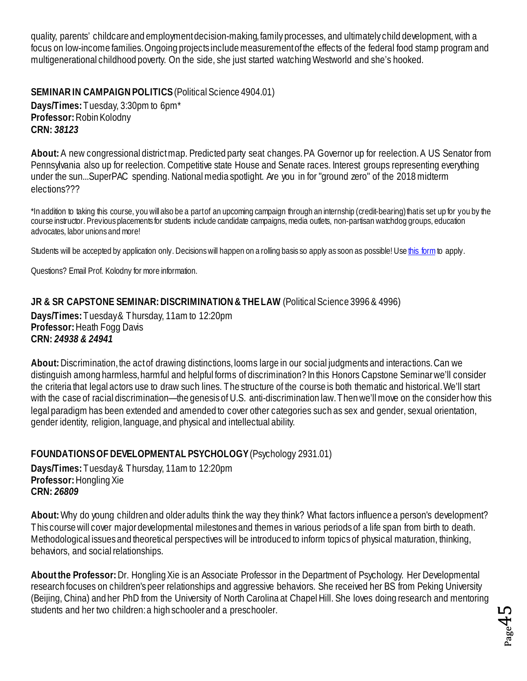quality, parents' childcare and employmentdecision-making, family processes, and ultimately child development, with a focus on low-income families. Ongoing projects include measurement of the effects of the federal food stamp program and multigenerational childhood poverty. On the side, she just started watching Westworld and she's hooked.

#### <span id="page-44-0"></span>**SEMINAR IN CAMPAIGN POLITICS**(Political Science 4904.01)

**Days/Times:** Tuesday, 3:30pm to 6pm\* **Professor:** Robin Kolodny **CRN:** *38123*

About: A new congressional districtmap. Predicted party seat changes. PA Governor up for reelection. A US Senator from Pennsylvania also up for reelection. Competitive state House and Senate races. Interest groups representing everything under the sun...SuperPAC spending. National media spotlight. Are you in for "ground zero" of the 2018 midterm elections???

\*In addition to taking this course, you will also be a part of an upcoming campaign through an internship (credit-bearing) that is set up for you by the course instructor. Previous placements for students include candidate campaigns, media outlets, non-partisan watchdog groups, education advocates, labor unions and more!

Students will be accepted by application only. Decisions will happen on a rolling basis so apply as soon as possible! Us[e this form](https://docs.google.com/forms/d/e/1FAIpQLSdJ-KI9RO85POri91TxfzErNwJmIZ18WqCSGA-hLeYWWb9q4w/viewform) to apply.

Questions? Email Prof. Kolodny for more information.

<span id="page-44-1"></span>**JR & SR CAPSTONE SEMINAR: DISCRIMINATION & THE LAW** (Political Science 3996 & 4996) **Days/Times:** Tuesday & Thursday, 11am to 12:20pm **Professor:** Heath Fogg Davis **CRN:** *24938 & 24941*

**About:** Discrimination, the act of drawing distinctions, looms large in our social judgments and interactions. Can we distinguish among harmless, harmful and helpful forms of discrimination? In this Honors Capstone Seminar we'll consider the criteria that legal actors use to draw such lines. The structure of the course is both thematic and historical.We'll start with the case of racial discrimination—the genesis of U.S. anti-discrimination law. Then we'll move on the consider how this legal paradigm has been extended and amended to cover other categories such as sex and gender, sexual orientation, gender identity, religion, language, and physical and intellectual ability.

#### <span id="page-44-2"></span>**FOUNDATIONS OF DEVELOPMENTAL PSYCHOLOGY** (Psychology 2931.01)

**Days/Times:** Tuesday & Thursday, 11am to 12:20pm **Professor:** Hongling Xie **CRN:** *26809*

**About:** Why do young children and older adults think the way they think? What factors influence a person's development? This course will cover major developmental milestones and themes in various periods of a life span from birth to death. Methodological issues and theoretical perspectives will be introduced to inform topics of physical maturation, thinking, behaviors, and social relationships.

**About the Professor:** Dr. Hongling Xie is an Associate Professor in the Department of Psychology. Her Developmental research focuses on children's peer relationships and aggressive behaviors. She received her BS from Peking University (Beijing, China) and her PhD from the University of North Carolina at Chapel Hill. She loves doing research and mentoring students and her two children: a high schooler and a preschooler.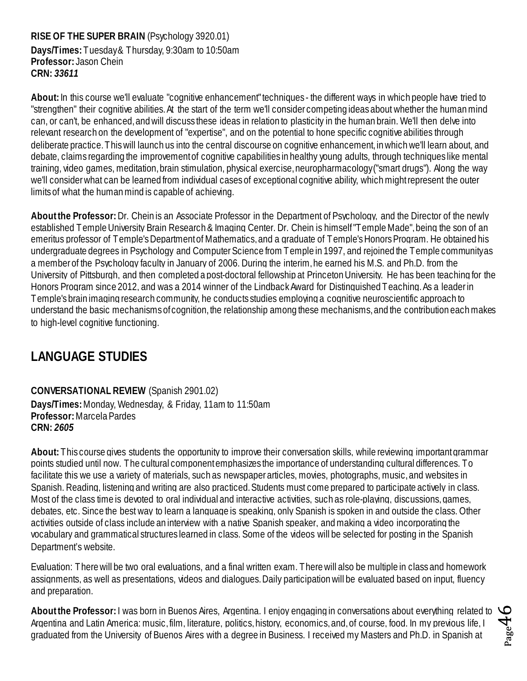# <span id="page-45-0"></span>**RISE OF THE SUPER BRAIN** (Psychology 3920.01)

**Days/Times:** Tuesday & Thursday, 9:30am to 10:50am **Professor:** Jason Chein **CRN:** *33611*

**About:** In this course we'll evaluate "cognitive enhancement" techniques - the different ways in which people have tried to "strengthen" their cognitive abilities. At the start of the term we'll consider competing ideas about whether the human mind can, or can't, be enhanced, and will discuss these ideas in relation to plasticity in the human brain. We'll then delve into relevant research on the development of "expertise", and on the potential to hone specific cognitive abilities through deliberate practice. This will launch us into the central discourse on cognitive enhancement, in which we'll learn about, and debate, claims regarding the improvement of cognitive capabilities in healthy young adults, through techniques like mental training, video games, meditation,brain stimulation, physical exercise, neuropharmacology ("smart drugs"). Along the way we'll consider what can be learned from individual cases of exceptional cognitive ability, which might represent the outer limits of what the human mind is capable of achieving.

**About the Professor:** Dr. Chein is an Associate Professor in the Department of Psychology, and the Director of the newly established Temple University Brain Research & Imaging Center. Dr. Chein is himself "Temple Made", being the son of an emeritus professor of Temple's Department of Mathematics, and a graduate of Temple's Honors Program. He obtained his undergraduate degrees in Psychology and Computer Science from Temple in 1997, and rejoined the Temple community as a member of the Psychology faculty in January of 2006. During the interim, he earned his M.S. and Ph.D. from the University of Pittsburgh, and then completed a post-doctoral fellowship at Princeton University. He has been teaching for the Honors Program since 2012, and was a 2014 winner of the Lindback Award for Distinguished Teaching. As a leader in Temple's brain imaging research community, he conducts studies employing a cognitive neuroscientific approach to understand the basic mechanisms of cognition, the relationship among these mechanisms, and the contribution each makes to high-level cognitive functioning.

## <span id="page-45-1"></span>**LANGUAGE STUDIES**

<span id="page-45-2"></span>**CONVERSATIONAL REVIEW** (Spanish 2901.02) **Days/Times:** Monday, Wednesday, & Friday, 11am to 11:50am **Professor:** Marcela Pardes **CRN:** *2605*

**About:** This course gives students the opportunity to improve their conversation skills, while reviewing important grammar points studied until now. The cultural component emphasizes the importance of understanding cultural differences. To facilitate this we use a variety of materials, such as newspaper articles, movies, photographs, music, and websites in Spanish. Reading, listening and writing are also practiced. Students must come prepared to participate actively in class. Most of the class time is devoted to oral individual and interactive activities, such as role-playing, discussions, games, debates, etc. Since the best way to learn a language is speaking, only Spanish is spoken in and outside the class. Other activities outside of class include an interview with a native Spanish speaker, and making a video incorporating the vocabulary and grammatical structures learned in class. Some of the videos will be selected for posting in the Spanish Department's website.

Evaluation: There will be two oral evaluations, and a final written exam. There will also be multiple in class and homework assignments, as well as presentations, videos and dialogues. Daily participation will be evaluated based on input, fluency and preparation.

**About the Professor:**I was born in Buenos Aires, Argentina. I enjoy engaging in conversations about everything related to Argentina and Latin America: music, film, literature, politics, history, economics, and, of course, food. In my previous life, I graduated from the University of Buenos Aires with a degree in Business. I received my Masters and Ph.D. in Spanish at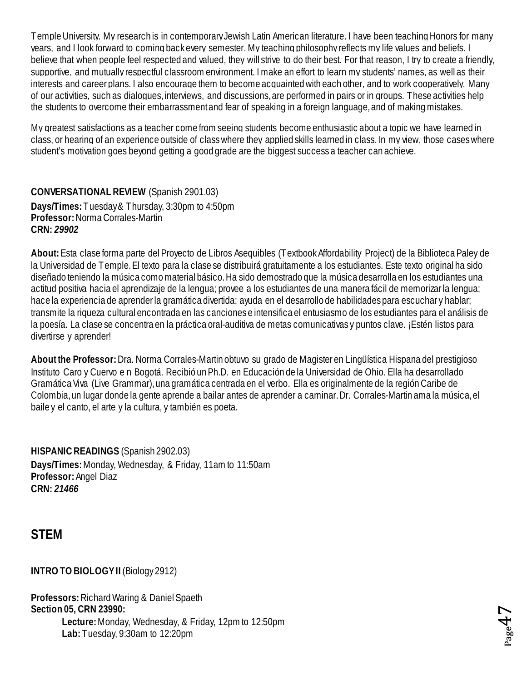Temple University. My research is in contemporary Jewish Latin American literature. I have been teaching Honors for many years, and I look forward to coming back every semester. My teaching philosophy reflects my life values and beliefs. I believe that when people feel respected and valued, they will strive to do their best. For that reason, I try to create a friendly, supportive, and mutually respectful classroom environment. I make an effort to learn my students' names, as well as their interests and career plans. I also encourage them to become acquainted with each other, and to work cooperatively. Many of our activities, such as dialogues, interviews, and discussions, are performed in pairs or in groups. These activities help the students to overcome their embarrassment and fear of speaking in a foreign language, and of making mistakes.

My greatest satisfactions as a teacher come from seeing students become enthusiastic about a topic we have learned in class, or hearing of an experience outside of class where they applied skills learned in class. In my view, those cases where student's motivation goes beyond getting a good grade are the biggest success a teacher can achieve.

<span id="page-46-0"></span>**CONVERSATIONAL REVIEW** (Spanish 2901.03) **Days/Times:** Tuesday & Thursday, 3:30pm to 4:50pm **Professor:** Norma Corrales-Martin **CRN:** *29902*

**About:** Esta clase forma parte del Proyecto de Libros Asequibles (Textbook Affordability Project) de la BibliotecaPaley de la Universidad de Temple. El texto para la clase se distribuirá gratuitamente a los estudiantes. Este texto original ha sido diseñado teniendo la música como material básico. Ha sido demostrado que la música desarrolla en los estudiantes una actitud positiva hacia el aprendizaje de la lengua; provee a los estudiantes de una manera fácil de memorizar la lengua; hace la experiencia de aprender la gramática divertida; ayuda en el desarrollo de habilidades para escuchar y hablar; transmite la riqueza cultural encontrada en las canciones e intensifica el entusiasmo de los estudiantes para el análisis de la poesía. La clase se concentra en la práctica oral-auditiva de metas comunicativas y puntos clave. ¡Estén listos para divertirse y aprender!

**About the Professor:** Dra. Norma Corrales-Martin obtuvo su grado de Magister en Lingüística Hispana del prestigioso Instituto Caro y Cuervo e n Bogotá. Recibió un Ph.D. en Educación de la Universidad de Ohio. Ella ha desarrollado Gramática Viva (Live Grammar), una gramática centrada en el verbo. Ella es originalmente de la región Caribe de Colombia, un lugar donde la gente aprende a bailar antes de aprender a caminar. Dr. Corrales-Martin ama la música, el baile y el canto, el arte y la cultura, y también es poeta.

<span id="page-46-1"></span>**HISPANIC READINGS** (Spanish 2902.03) **Days/Times:** Monday, Wednesday, & Friday, 11am to 11:50am **Professor:** Angel Diaz **CRN:** *21466*

<span id="page-46-2"></span>**STEM**

<span id="page-46-3"></span>**INTRO TO BIOLOGY II** (Biology 2912)

**Professors:** Richard Waring & Daniel Spaeth **Section 05, CRN 23990: Lecture:** Monday, Wednesday, & Friday, 12pm to 12:50pm **Lab:** Tuesday, 9:30am to 12:20pm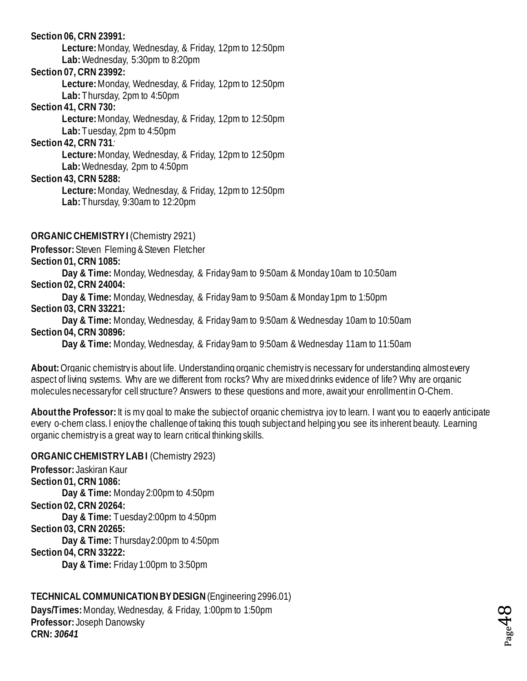#### **Section 06, CRN 23991:**

**Lecture:** Monday, Wednesday, & Friday, 12pm to 12:50pm **Lab:** Wednesday, 5:30pm to 8:20pm

#### **Section 07, CRN 23992:**

**Lecture:** Monday, Wednesday, & Friday, 12pm to 12:50pm

**Lab:** Thursday, 2pm to 4:50pm

#### **Section 41, CRN 730:**

**Lecture:** Monday, Wednesday, & Friday, 12pm to 12:50pm

**Lab:** Tuesday, 2pm to 4:50pm

**Section 42, CRN 731***:* 

**Lecture:** Monday, Wednesday, & Friday, 12pm to 12:50pm

**Lab:** Wednesday, 2pm to 4:50pm

**Section 43, CRN 5288:**

**Lecture:** Monday, Wednesday, & Friday, 12pm to 12:50pm **Lab:** Thursday, 9:30am to 12:20pm

<span id="page-47-0"></span>**ORGANIC CHEMISTRY I** (Chemistry 2921)

**Professor:** Steven Fleming & Steven Fletcher **Section 01, CRN 1085:**

**Day & Time:** Monday, Wednesday, & Friday 9am to 9:50am & Monday 10am to 10:50am **Section 02, CRN 24004:**

**Day & Time:** Monday, Wednesday, & Friday 9am to 9:50am & Monday 1pm to 1:50pm **Section 03, CRN 33221:**

**Day & Time:** Monday, Wednesday, & Friday 9am to 9:50am & Wednesday 10am to 10:50am **Section 04, CRN 30896:**

**Day & Time:** Monday, Wednesday, & Friday 9am to 9:50am & Wednesday 11am to 11:50am

**About:**Organic chemistry is about life. Understanding organic chemistry is necessary for understanding almost every aspect of living systems. Why are we different from rocks? Why are mixed drinks evidence of life? Why are organic molecules necessary for cell structure? Answers to these questions and more, await your enrollment in O-Chem.

About the Professor: It is my goal to make the subject of organic chemistry a joy to learn. I want you to eagerly anticipate every o-chem class. I enjoy the challenge of taking this tough subject and helping you see its inherent beauty. Learning organic chemistry is a great way to learn critical thinking skills.

#### <span id="page-47-1"></span>**ORGANICCHEMISTRY LAB I** (Chemistry 2923)

**Professor:** Jaskiran Kaur **Section 01, CRN 1086: Day & Time:** Monday 2:00pm to 4:50pm **Section 02, CRN 20264: Day & Time:** Tuesday2:00pm to 4:50pm **Section 03, CRN 20265: Day & Time:** Thursday2:00pm to 4:50pm **Section 04, CRN 33222: Day & Time:** Friday 1:00pm to 3:50pm

<span id="page-47-2"></span>**TECHNICAL COMMUNICATIONBY DESIGN**(Engineering 2996.01) **Days/Times:** Monday, Wednesday, & Friday, 1:00pm to 1:50pm **Professor:** Joseph Danowsky **CRN:** *30641*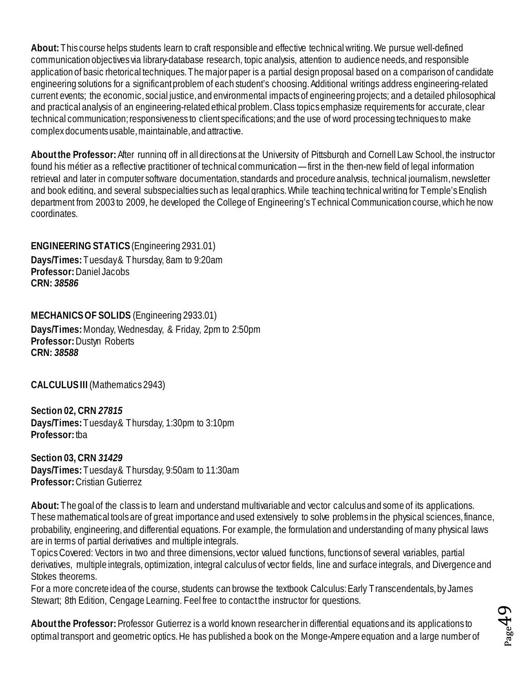**About:** This course helps students learn to craft responsible and effective technical writing. We pursue well-defined communication objectives via library-database research, topic analysis, attention to audience needs, and responsible application of basic rhetorical techniques. The major paper is a partial design proposal based on a comparison of candidate engineering solutions for a significant problem of each student's choosing. Additional writings address engineering-related current events; the economic, social justice, and environmental impacts of engineering projects; and a detailed philosophical and practical analysis of an engineering-related ethical problem. Class topics emphasize requirements for accurate, clear technical communication; responsiveness to client specifications; and the use of word processing techniques to make complex documents usable, maintainable, and attractive.

**About the Professor:**After running off in all directions at the University of Pittsburgh and Cornell Law School, the instructor found his métier as a reflective practitioner of technical communication —first in the then-new field of legal information retrieval and later in computer software documentation, standards and procedure analysis, technical journalism, newsletter and book editing, and several subspecialties such as legal graphics. While teaching technical writing for Temple's English department from 2003 to 2009, he developed the College of Engineering's Technical Communication course, which he now coordinates.

<span id="page-48-0"></span>**ENGINEERING STATICS** (Engineering 2931.01) **Days/Times:** Tuesday & Thursday, 8am to 9:20am **Professor:** Daniel Jacobs **CRN:** *38586*

<span id="page-48-1"></span>**MECHANICS OF SOLIDS** (Engineering 2933.01) **Days/Times:** Monday, Wednesday, & Friday, 2pm to 2:50pm **Professor:** Dustyn Roberts **CRN:** *38588*

<span id="page-48-2"></span>**CALCULUS III** (Mathematics 2943)

**Section 02, CRN** *27815* **Days/Times:** Tuesday & Thursday, 1:30pm to 3:10pm **Professor:** tba

**Section 03, CRN** *31429* **Days/Times:** Tuesday & Thursday, 9:50am to 11:30am **Professor:** Cristian Gutierrez

**About:** The goal of the class is to learn and understand multivariable and vector calculus and some of its applications. These mathematical tools are of great importance and used extensively to solve problems in the physical sciences, finance, probability, engineering, and differential equations. For example, the formulation and understanding of many physical laws are in terms of partial derivatives and multiple integrals.

Topics Covered: Vectors in two and three dimensions, vector valued functions, functions of several variables, partial derivatives, multiple integrals, optimization, integral calculus of vector fields, line and surface integrals, and Divergence and Stokes theorems.

For a more concrete idea of the course, students can browse the textbook Calculus: Early Transcendentals, by James Stewart; 8th Edition, Cengage Learning. Feel free to contact the instructor for questions.

**About the Professor:** Professor Gutierrez is a world known researcher in differential equations and its applications to optimal transport and geometric optics. He has published a book on the Monge-Ampere equation and a large number of